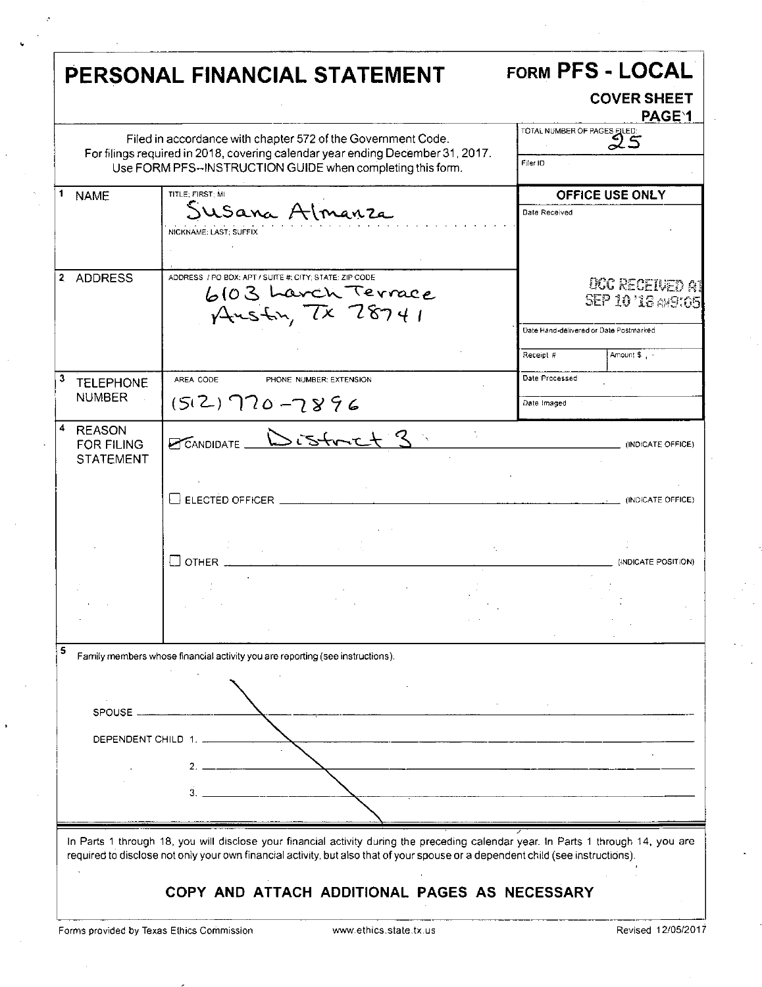|                                                             | PERSONAL FINANCIAL STATEMENT                                                                                                                                                                                                                                                                                             | <b>FORM PFS - LOCAL</b>                     |
|-------------------------------------------------------------|--------------------------------------------------------------------------------------------------------------------------------------------------------------------------------------------------------------------------------------------------------------------------------------------------------------------------|---------------------------------------------|
|                                                             |                                                                                                                                                                                                                                                                                                                          | <b>COVER SHEET</b><br>PAGE <sup>1</sup>     |
|                                                             | Filed in accordance with chapter 572 of the Government Code.<br>For filings required in 2018, covering calendar year ending December 31, 2017.                                                                                                                                                                           | TOTAL NUMBER OF PAGES FILED<br>Filer ID     |
|                                                             | Use FORM PFS--INSTRUCTION GUIDE when completing this form.                                                                                                                                                                                                                                                               |                                             |
| <b>NAME</b>                                                 | TITLE: FIRST: MI                                                                                                                                                                                                                                                                                                         | OFFICE USE ONLY                             |
|                                                             | Susana Almanza<br>NICKNAME: LAST: SUFFIX                                                                                                                                                                                                                                                                                 | Date Received                               |
| <b>ADDRESS</b><br>2                                         | ADDRESS / PO BOX: APT / SUITE #; CITY; STATE; ZIP CODE<br>6103 Laven Terrace<br>Austry TX 78741                                                                                                                                                                                                                          | <b>DCC RECEIVED AT</b><br>SEP 10 '18 AN9:05 |
|                                                             |                                                                                                                                                                                                                                                                                                                          | Date Hand-delivered or Date Postmarked      |
|                                                             |                                                                                                                                                                                                                                                                                                                          | Amount \$ , -<br>Receipt #                  |
| <b>TELEPHONE</b>                                            | AREA CODE<br>PHONE NUMBER: EXTENSION                                                                                                                                                                                                                                                                                     | Date Processed                              |
| <b>NUMBER</b>                                               | $(512)$ $720 - 7896$                                                                                                                                                                                                                                                                                                     | Date Imaged                                 |
| 4<br><b>REASON</b><br><b>FOR FILING</b><br><b>STATEMENT</b> | District 3<br>CANDIDATE                                                                                                                                                                                                                                                                                                  | (INDICATE OFFICE)                           |
|                                                             | ELECTED OFFICER                                                                                                                                                                                                                                                                                                          | (INDICATE OFFICE)                           |
|                                                             |                                                                                                                                                                                                                                                                                                                          |                                             |
|                                                             | OTHER                                                                                                                                                                                                                                                                                                                    | (INDICATE POSITION)                         |
|                                                             |                                                                                                                                                                                                                                                                                                                          |                                             |
|                                                             |                                                                                                                                                                                                                                                                                                                          |                                             |
| 5                                                           | Family members whose financial activity you are reporting (see instructions).                                                                                                                                                                                                                                            |                                             |
|                                                             |                                                                                                                                                                                                                                                                                                                          |                                             |
| SPOUSE <sub>-</sub>                                         |                                                                                                                                                                                                                                                                                                                          |                                             |
| DEPENDENT CHILD 1.                                          |                                                                                                                                                                                                                                                                                                                          |                                             |
|                                                             |                                                                                                                                                                                                                                                                                                                          |                                             |
|                                                             |                                                                                                                                                                                                                                                                                                                          |                                             |
|                                                             | 3.                                                                                                                                                                                                                                                                                                                       |                                             |
|                                                             | In Parts 1 through 18, you will disclose your financial activity during the preceding calendar year. In Parts 1 through 14, you are<br>required to disclose not only your own financial activity, but also that of your spouse or a dependent child (see instructions).<br>COPY AND ATTACH ADDITIONAL PAGES AS NECESSARY |                                             |
| Forms provided by Texas Ethics Commission                   | www.ethics.state.tx.us                                                                                                                                                                                                                                                                                                   | Revised 12/05/2017                          |

 $\cdot$ 

 $\cdot$ 

J.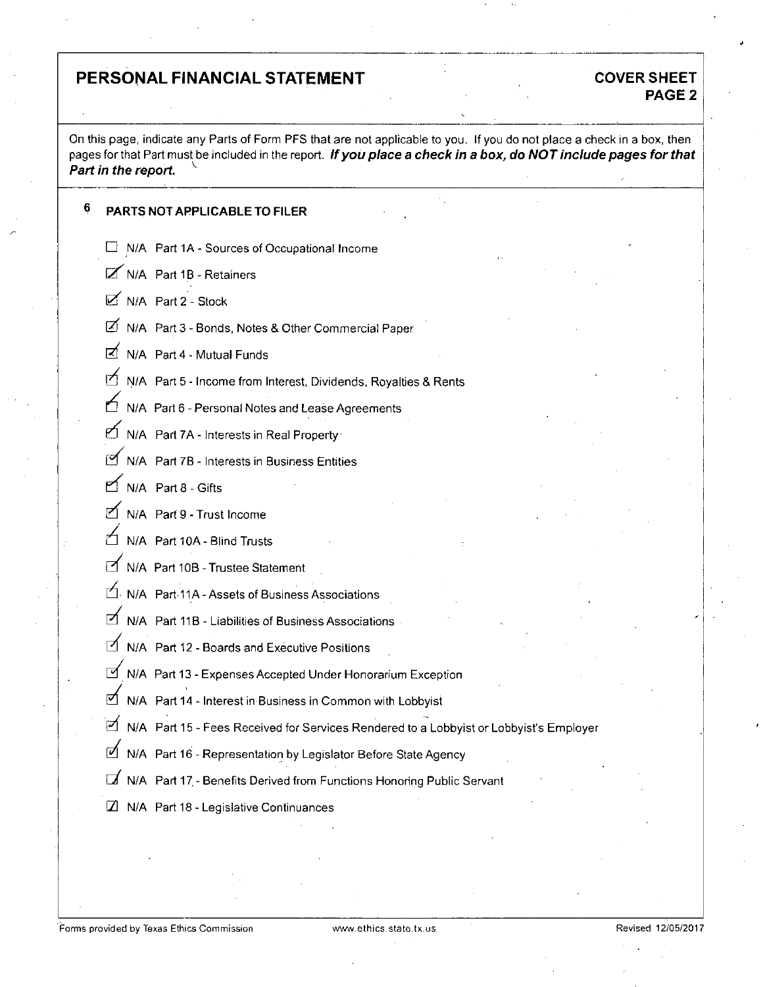### **PERSONAL FINANCIAL STATEMENT COVER SHEET**

# **PAGE 2**

**On this page, indicate any Parts of Form PFS that are not applicable to you. If you do not place a check in a box, then**  pages for that Part must be included in the report. If you place a check in a box, do NOT include pages for that Part in the report.

### **^ PARTS NOT APPLICABLE TO FILER**

- N/A Part 1A Sources of Occupational Income
- Z N/A Part 1B Retainers
- $\boxtimes$  N/A Part 2 Stock
- [Zf N/A Part 3 Bonds, Notes & Other Commercial Paper
- ⊠ N/A Part 4 Mutual Funds
- N/A Part 5 Income from Interest, Dividends, Royalties & Rents
- N/A Part 6 Personal Notes and Lease Agreements
- N/A Part 7A Interests in Real Property
- [ZT'N/A Part 7B Interests in Business Entities
- N/A Part 8 Gifts
- EI' N/A Part 9 Trust Income
- N/A Part IOA-Blind Trusts
- IZl^ N/A Part 10B Trustee Statement
- N/A Part 11A Assets of Business Associations
- ⊠ N/A Part 11B Liabilities of Business Associations
- [zf N/A Part 12 Boards and Executive Positions
- ⊡ N/A Part 13 Expenses Accepted Under Honorarium Exception
- $\boxtimes$  N/A  $\,$  Part 14 Interest in Business in Common with Lobbyist
- $\boxtimes$  N/A Part 15 Fees Received for Services Rendered to a Lobbyist or Lobbyist's Employer
- $\boxtimes$  N/A Part 16 Representation by Legislator Before State Agency
- $\Box$  N/A Part 17 Benefits Derived from Functions Honoring Public Servant
- $\Box$  N/A Part 18 Legislative Continuances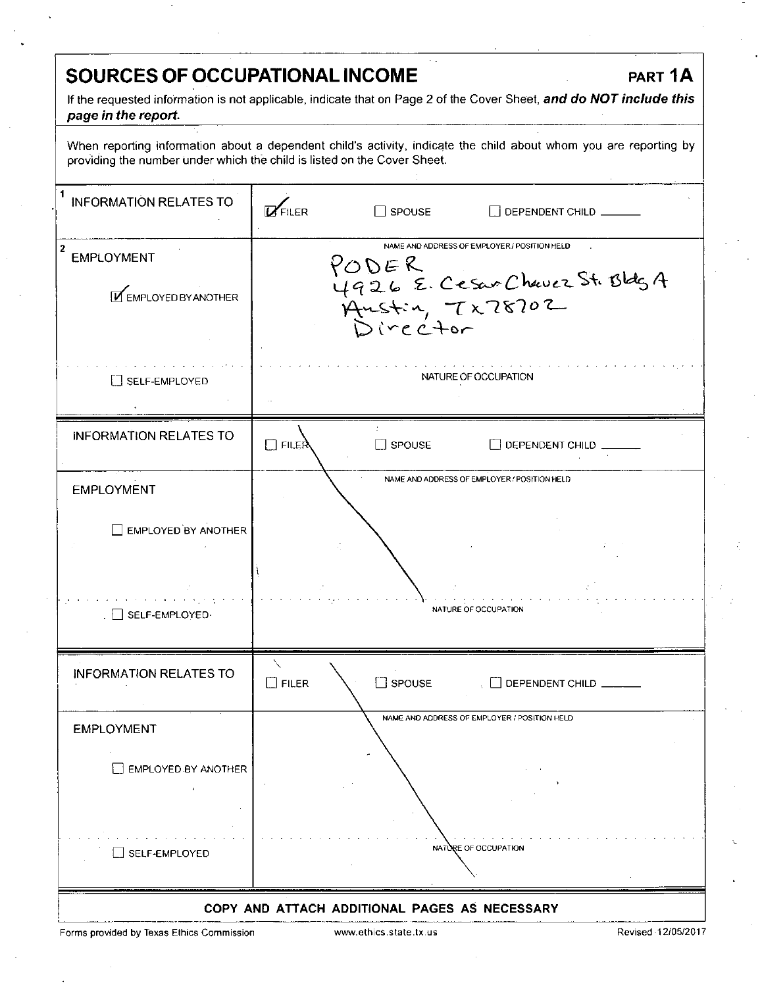# **SOURCES OF OCCUPATIONAL INCOME** PART 1A

If the requested information is not applicable, indicate that on Page 2 of the Cover Sheet, and do NOT include this page in the report.

When reporting information about a dependent child's activity, indicate the child about whom you are reporting by providing the number under which the child is listed on the Cover Sheet.

| 1<br>INFORMATION RELATES TO                           | $\n  W$ FILER<br>$\Box$ SPOUSE<br>DEPENDENT CHILD                                                                          |
|-------------------------------------------------------|----------------------------------------------------------------------------------------------------------------------------|
| 2<br><b>EMPLOYMENT</b><br><b>MEMPLOYED BY ANOTHER</b> | NAME AND ADDRESS OF EMPLOYER / POSITION HELD<br>PODER<br>4926 E. Cesar Chavez St. Bldg A<br>14 ust: n, TX78702<br>Director |
| SELF-EMPLOYED                                         | NATURE OF OCCUPATION                                                                                                       |
| <b>INFORMATION RELATES TO</b>                         | $\square$ FILER<br>$\Box$ SPOUSE<br>DEPENDENT CHILD                                                                        |
| <b>EMPLOYMENT</b>                                     | NAME AND ADDRESS OF EMPLOYER / POSITION HELD                                                                               |
| EMPLOYED BY ANOTHER                                   |                                                                                                                            |
| . □ SELF-EMPLOYED·                                    | NATURE OF OCCUPATION                                                                                                       |
| <b>INFORMATION RELATES TO</b>                         | $\Box$ SPOUSE<br>$\Box$ DEPENDENT CHILD $\_\_\_\_\_\_\_\_\_\$<br>$\Box$ FILER                                              |
| <b>EMPLOYMENT</b>                                     | NAME AND ADDRESS OF EMPLOYER / POSITION HELD                                                                               |
| EMPLOYED BY ANOTHER                                   |                                                                                                                            |
| SELF-EMPLOYED                                         | NATURE OF OCCUPATION                                                                                                       |
|                                                       | COPY AND ATTACH ADDITIONAL PAGES AS NECESSARY                                                                              |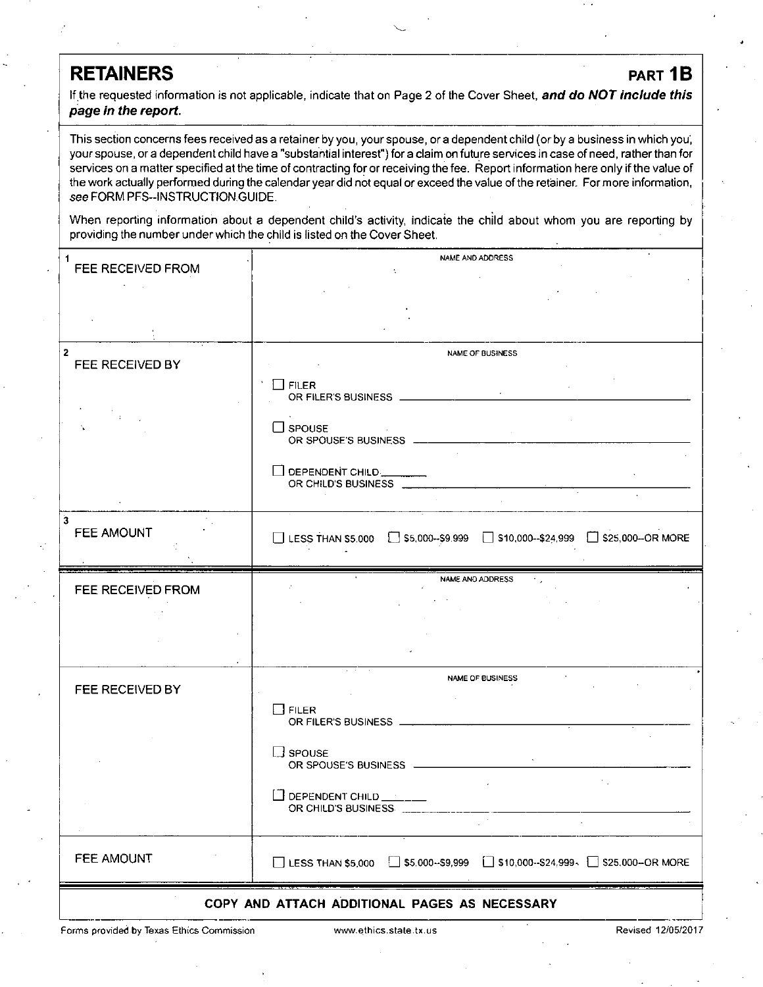### **RETAINERS** PART 1B

**If the requested information is not applicable, indicate that on Page 2 of the Cover Sheet, and do NOT include this page in the report.** 

This section concerns fees received as a retainer by you, your spouse, or a dependent child (or by a business in which you, your spouse, or a dependent child have a "substantial interest") for a claim on future services in case of need, rather than for services on a matter specified at the time of contracting for or receiving the fee. Report information here only if the value of the work actually performed during the calendar year did not equal or exceed the value of the retainer. For more information, see FORM PFS~INSTRUCTION.GUIDE.

When reporting information about a dependent child's activity, indicate the child about whom you are reporting by providing the number under which the child is listed on the Cover Sheet.

| $\mathbf 1$<br>FEE RECEIVED FROM | NAME AND ADDRESS                                                                |
|----------------------------------|---------------------------------------------------------------------------------|
|                                  |                                                                                 |
|                                  |                                                                                 |
|                                  |                                                                                 |
| 2.<br>FEE RECEIVED BY            | NAME OF BUSINESS                                                                |
|                                  | $\overline{\phantom{a}}$ filer                                                  |
|                                  | OR FILER'S BUSINESS _                                                           |
|                                  | $\sqcup$ spouse $\sqcup$<br>OR SPOUSE'S BUSINESS                                |
|                                  | DEPENDENT CHILD<br>OR CHILD'S BUSINESS                                          |
|                                  |                                                                                 |
| 3<br>FEE AMOUNT                  | □ LESS THAN \$5.000 □ \$5,000--\$9.999 □ \$10,000--\$24,999 □ \$25,000--OR MORE |
| FEE RECEIVED FROM                | NAME AND ADDRESS                                                                |
|                                  |                                                                                 |
|                                  |                                                                                 |
|                                  |                                                                                 |
|                                  | NAME OF BUSINESS                                                                |
| FEE RECEIVED BY                  | $\Box$ FILER<br>OR FILER'S BUSINESS _                                           |
|                                  | LJ SPOUSE<br>OR SPOUSE'S BUSINESS -                                             |
|                                  | $\Box$ DEPENDENT CHILD $\_\_\_\_\_\$                                            |
|                                  | OR CHILD'S BUSINESS.                                                            |
| FEE AMOUNT                       |                                                                                 |
|                                  | COPY AND ATTACH ADDITIONAL PAGES AS NECESSARY                                   |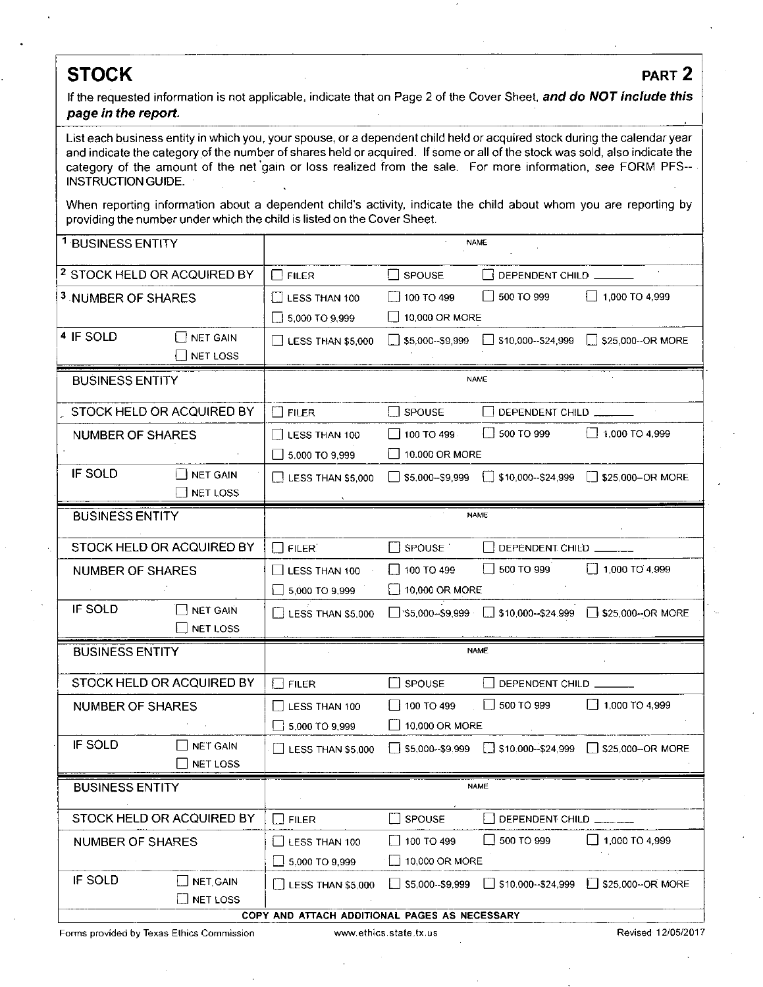### **STOCK** PART 2

**If the requested information is not applicable, indicate that on Page 2 of the Cover Sheet, and do NOT include this page in the report.** 

List each business entity in which you, your spouse, or a dependent child held or acquired stock during the calendar year and indicate the category of the number of shares held or acquired. If some or all of the stock was sold, also indicate the category of the amount of the net gain or loss realized from the sale. For more information, see FORM PFS--INSTRUCTION GUIDE.

When reporting information about a dependent child's activity, indicate the child about whom you are reporting by providing the number under which the child is listed on the Cover Sheet.

| <sup>1</sup> BUSINESS ENTITY           |                    |                                               |                         | <b>NAME</b>            |                                                                         |
|----------------------------------------|--------------------|-----------------------------------------------|-------------------------|------------------------|-------------------------------------------------------------------------|
| <sup>2</sup> STOCK HELD OR ACQUIRED BY |                    | $\Box$ Filer                                  | SPOUSE                  | DEPENDENT CHILD ______ |                                                                         |
| <sup>3</sup> NUMBER OF SHARES          |                    | $\Box$ LESS THAN 100                          | 100 TO 499              | $\Box$ 500 TO 999      | $\begin{array}{ c c c c c c } \hline \end{array}$ 1,000 TO 4,999        |
|                                        |                    | $\Box$ 5,000 TO 9,999                         | $\pm$ 10,000 OR MORE    |                        |                                                                         |
| 4 IF SOLD                              | NET GAIN           | $\Box$ LESS THAN \$5,000                      | $\Box$ \$5,000--\$9,999 | □ \$10,000--\$24,999   | $\lfloor$ \$25,000 - OR MORE                                            |
|                                        | $\square$ NET LOSS |                                               |                         |                        |                                                                         |
| <b>BUSINESS ENTITY</b>                 |                    |                                               |                         | <b>NAME</b>            |                                                                         |
| STOCK HELD OR ACQUIRED BY              |                    | $\Box$ FILER                                  | SPOUSE                  | DEPENDENT CHILD        |                                                                         |
| <b>NUMBER OF SHARES</b>                |                    | $\Box$ LESS THAN 100                          | $\Box$ 100 TO 499.      | $\Box$ 500 TO 999      | $11.000$ TO 4.999                                                       |
|                                        |                    | $\Box$ 5.000 TO 9,999                         | 10,000 OR MORE          |                        |                                                                         |
| IF SOLD                                | $\Box$ NET GAIN    | $\Box$ LESS THAN \$5,000                      | $\Box$ \$5.000-\$9,999  |                        | $\Box$ \$10,000--\$24,999 $\Box$ \$25,000-OR MORE                       |
|                                        | _  NET LOSS        |                                               |                         |                        |                                                                         |
| <b>BUSINESS ENTITY</b>                 |                    |                                               |                         | <b>NAME</b>            |                                                                         |
| STOCK HELD OR ACQUIRED BY              |                    | $\Box$ FILER.                                 | $\square$ spouse        | DEPENDENT CHILD ______ |                                                                         |
| <b>NUMBER OF SHARES</b>                |                    | LESS THAN 100                                 | $\Box$ 100 TO 499       | $\bigcup$ 500 TO 999   | $\Box$ 1,000 TO 4,999                                                   |
|                                        |                    | 5,000 TO 9,999                                | $10,000$ OR MORE        |                        |                                                                         |
| IF SOLD                                | NET GAIN           | LESS THAN \$5,000                             |                         |                        | □ \$5,000-\$9,999 · □ \$10,000--\$24.999 · □ \$25,000--OR MORE          |
|                                        | <b>NET LOSS</b>    |                                               |                         |                        |                                                                         |
| <b>BUSINESS ENTITY</b>                 |                    |                                               |                         | <b>NAME</b>            |                                                                         |
| STOCK HELD OR ACQUIRED BY              |                    | <b>I</b> FILER                                | $\Box$ SPOUSE           | DEPENDENT CHILD        |                                                                         |
| <b>NUMBER OF SHARES</b>                |                    | LESS THAN 100                                 | 100 TO 499              | $\Box$ 500 TO 999      | $\Box$ 1,000 TO 4,999                                                   |
|                                        |                    | $\Box$ 5,000 TO 9,999                         | 10,000 OR MORE          |                        |                                                                         |
| IF SOLD                                | NET GAIN           | $\Box$ LESS THAN \$5,000                      |                         |                        | $\Box$ \$5,000-\$9,999 $\Box$ \$10,000-\$24,999 $\Box$ \$25,000-OR MORE |
|                                        | $\Box$ NET LOSS    |                                               |                         |                        |                                                                         |
| <b>BUSINESS ENTITY</b>                 |                    |                                               |                         | <b>NAME</b>            |                                                                         |
| STOCK HELD OR ACQUIRED BY              |                    | <b>FILER</b><br>- 1                           | SPOUSE                  | DEPENDENT CHILD        |                                                                         |
|                                        |                    |                                               |                         |                        |                                                                         |
| NUMBER OF SHARES                       |                    | <b>LESS THAN 100</b>                          | 100 TO 499              | 500 TO 999             | $\Box$ 1.000 TO 4.999                                                   |
|                                        |                    | 5.000 TO 9,999                                | 10,000 OR MORE          |                        |                                                                         |
| IF SOLD                                | NET GAIN           | LESS THAN \$5,000                             | US5,000--\$9,999        | \$10,000 - \$24,999    | $\lfloor$ \$25,000-OR MORE                                              |
|                                        | <b>NET LOSS</b>    | COPY AND ATTACH ADDITIONAL PAGES AS NECESSARY |                         |                        |                                                                         |

Forms provided by Texas Ethics Commission www.ethics.state.tx.us **Revised 12/05/2017** Revised 12/05/2017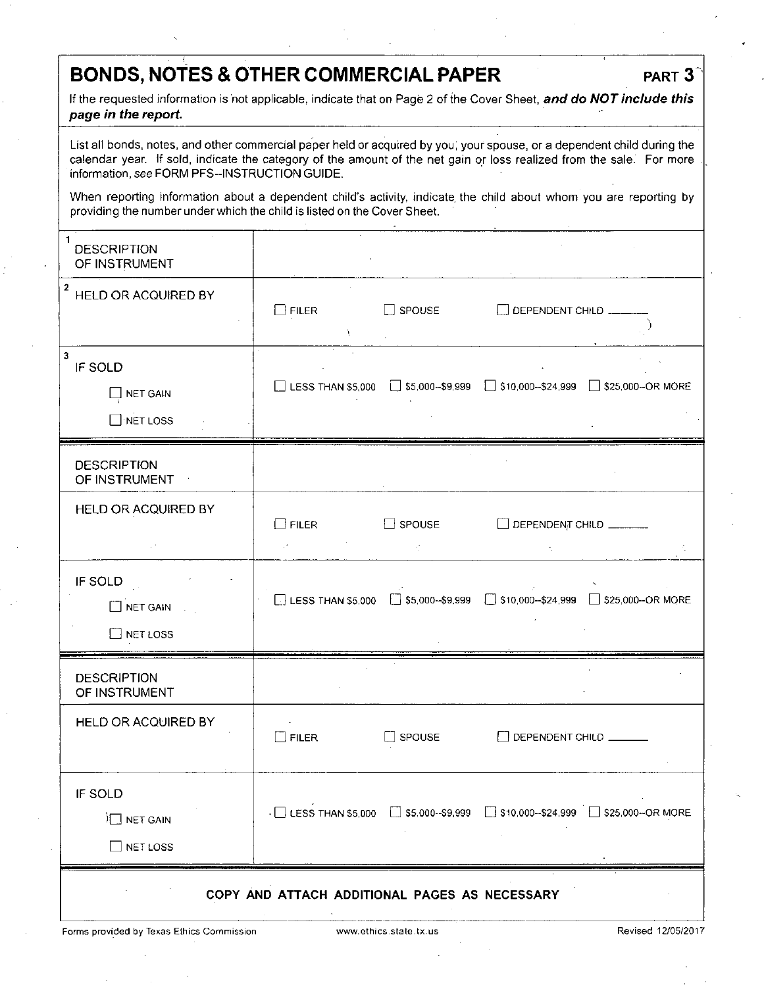# BONDS, NOTES & OTHER COMMERCIAL PAPER PART 3

If the requested information is not applicable, indicate that on Page 2 of the Cover Sheet, and do NOT include this page in the report.

List all bonds, notes, and other commercial paper held or acquired by you, your spouse, or a dependent child during the calendar year. If sold, indicate the category of the amount of the net gain or loss realized from the sale. For more information, see FORM PFS-INSTRUCTION GUIDE.

When reporting information about a dependent child's activity, indicate the child about whom you are reporting by providing the number under which the child is listed on the Cover Sheet.

| $\Box$ FILER<br>Ą.       | ] SPOUSE               | $\Box$ DEPENDENT CHILD                    |                                                                                                                                                                                                |
|--------------------------|------------------------|-------------------------------------------|------------------------------------------------------------------------------------------------------------------------------------------------------------------------------------------------|
|                          |                        |                                           |                                                                                                                                                                                                |
| $\Box$ LESS THAN \$5,000 |                        |                                           |                                                                                                                                                                                                |
|                          |                        |                                           |                                                                                                                                                                                                |
|                          |                        |                                           |                                                                                                                                                                                                |
|                          |                        |                                           |                                                                                                                                                                                                |
|                          | $\tau_{\rm c}^{\rm c}$ |                                           |                                                                                                                                                                                                |
|                          |                        |                                           |                                                                                                                                                                                                |
|                          |                        |                                           |                                                                                                                                                                                                |
|                          |                        |                                           |                                                                                                                                                                                                |
|                          |                        |                                           |                                                                                                                                                                                                |
| $\Box$ FILER             | SPOUSE                 | $\Box$ DEPENDENT CHILD                    |                                                                                                                                                                                                |
|                          |                        |                                           |                                                                                                                                                                                                |
|                          |                        |                                           |                                                                                                                                                                                                |
|                          |                        |                                           |                                                                                                                                                                                                |
|                          |                        |                                           |                                                                                                                                                                                                |
|                          | $\Box$ FILER           | $\Box$ SPOUSE<br>$\Box$ LESS THAN \$5,000 | □ \$5,000--\$9,999 □ \$10,000--\$24,999 □ \$25,000--OR MORE<br>DEPENDENT CHILD<br>◯ \$5,000--\$9,999 ◯ \$10,000--\$24,999 ◯ \$25,000--OR MORE<br>COPY AND ATTACH ADDITIONAL PAGES AS NECESSARY |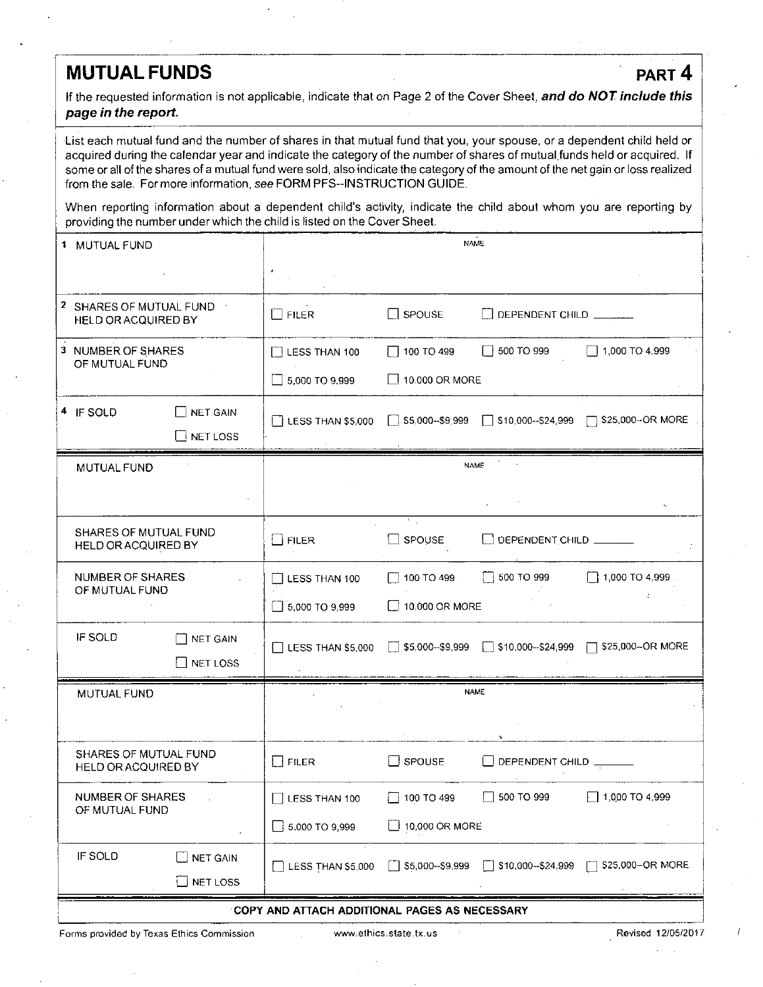### **MUTUALFUNDS PART 4**

If the requested information is not applicable, indicate that on Page 2 of the Cover Sheet, and do NOT include this page in the report.

List each mutual fund and the number of shares in that mutual fund that you, your spouse, or a dependent child held or acquired during the calendar year and indicate the category of the number of shares of mutual.funds held or acquired. If some or all of the shares of a mutual fund were sold, also indicate the category of the amount of the net gain or loss realized from the sale. For more information, see FORM PFS-INSTRUCTION GUIDE.

When reporting information about a dependent child's activity, indicate the child about whom you are reporting by providing the number under which the child is listed on the Cover Sheet.

| 1 MUTUAL FUND                                       |                                               | <b>NAME</b>             |                                            |                                                             |
|-----------------------------------------------------|-----------------------------------------------|-------------------------|--------------------------------------------|-------------------------------------------------------------|
|                                                     | $\bullet$                                     |                         |                                            |                                                             |
| 2 SHARES OF MUTUAL FUND<br>HELD OR ACQUIRED BY      | $\square$ FILER                               | $\Box$ SPOUSE           | DEPENDENT CHILD                            |                                                             |
| 3 NUMBER OF SHARES<br>OF MUTUAL FUND                | $\Box$ LESS THAN 100                          | $\Box$ 100 TO 499       | 500 TO 999                                 | $\Box$ 1,000 TO 4,999                                       |
|                                                     | 5,000 TO 9,999                                | $\Box$ 10.000 OR MORE   |                                            |                                                             |
| 4 IF SOLD<br><b>NET GAIN</b>                        | $\Box$ LESS THAN \$5,000                      |                         |                                            | □ \$5,000--\$9,999 □ \$10,000--\$24,999 □ \$25,000--OR MORE |
| $\exists$ NET LOSS                                  |                                               |                         |                                            |                                                             |
| MUTUAL FUND                                         |                                               |                         | <b>NAME</b>                                |                                                             |
|                                                     |                                               |                         |                                            |                                                             |
| <b>SHARES OF MUTUAL FUND</b><br>HELD OR ACQUIRED BY | $\Box$ FILER                                  | $\Box$ SPOUSE           | $\lfloor$ DEPENDENT CHILD                  |                                                             |
| <b>NUMBER OF SHARES</b><br>OF MUTUAL FUND           | LESS THAN 100                                 | □ 100 TO 499            | 500 TO 999                                 | $\Box$ 1,000 TO 4,999                                       |
|                                                     | □ 5,000 TO 9,999                              | $\Box$ 10,000 OR MORE   |                                            |                                                             |
| IF SOLD<br><b>NET GAIN</b><br>$\Box$ NET LOSS       | $\Box$ LESS THAN \$5,000                      | 55,000--\$9,999         | $\Box$ \$10,000--\$24,999                  | $\Box$ \$25,000-OR MORE                                     |
| MUTUAL FUND                                         |                                               |                         | <b>NAME</b>                                |                                                             |
|                                                     |                                               |                         |                                            |                                                             |
| SHARES OF MUTUAL FUND<br>HELD OR ACQUIRED BY        | $\square$ FILER                               | $\Box$ SPOUSE           | $\exists$ DEPENDENT CHILD $\_\_\_\_\_\_\_$ |                                                             |
| NUMBER OF SHARES<br>OF MUTUAL FUND                  | LESS THAN 100                                 | 100 TO 499              | 500 TO 999                                 | 1,000 TO 4,999                                              |
|                                                     | 5,000 TO 9,999                                | 10,000 OR MORE          |                                            |                                                             |
| IF SOLD<br>NET GAIN                                 | $\Box$ LESS THAN \$5,000                      | $\Box$ \$5,000--\$9,999 | \$10,000--\$24,999                         | \$25,000-OR MORE                                            |
| NET LOSS                                            |                                               |                         |                                            |                                                             |
|                                                     | COPY AND ATTACH ADDITIONAL PAGES AS NECESSARY |                         |                                            |                                                             |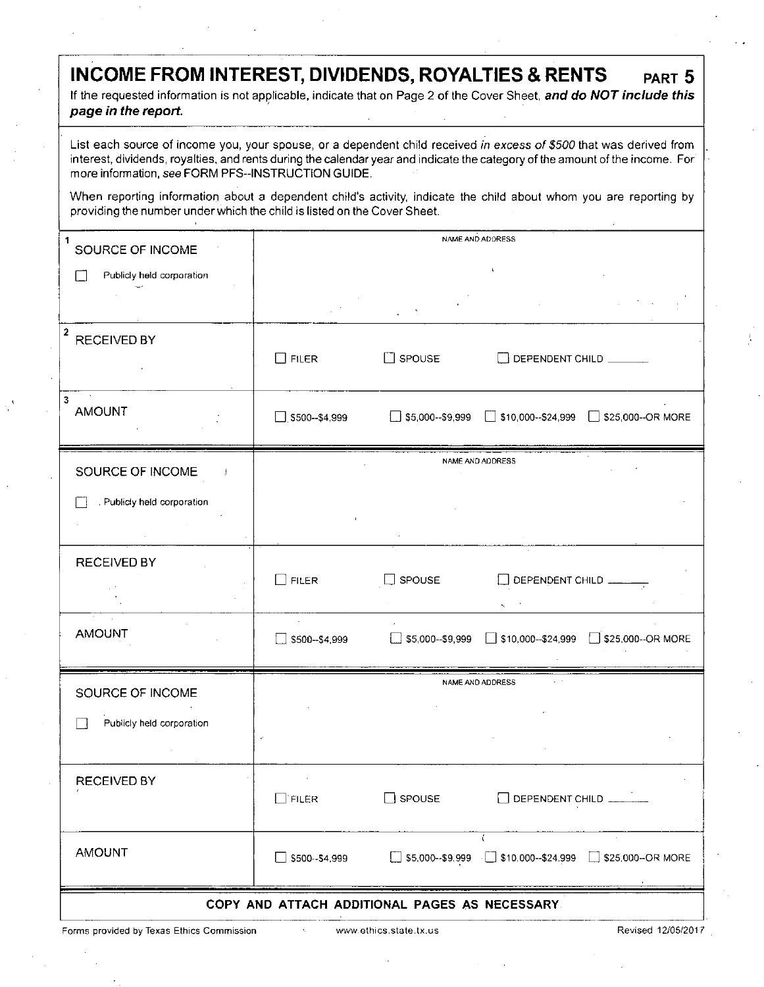| INCOME FROM INTEREST, DIVIDENDS, ROYALTIES & RENTS | PART 5 |
|----------------------------------------------------|--------|
|----------------------------------------------------|--------|

If the requested information is not applicable, indicate that on Page 2 of the Cover Sheet, and do NOT include this page in the report.

List each source of income you, your spouse, or a dependent child received in excess of \$500 that was derived from interest, dividends, royalties, and rents during the calendar year and indicate the category of the amount of the income. For more information, see FORM PFS-INSTRUCTION GUIDE.

When reporting information about a dependent child's activity, indicate the child about whom you are reporting by providing the number under which the child is listed on the Cover Sheet.

| 1<br>SOURCE OF INCOME       |                                                |                         | NAME AND ADDRESS                                                |
|-----------------------------|------------------------------------------------|-------------------------|-----------------------------------------------------------------|
| Publicly held corporation   |                                                |                         |                                                                 |
|                             |                                                |                         |                                                                 |
| 2<br><b>RECEIVED BY</b>     | $\Box$ FILER                                   | $\Box$ SPOUSE           | DEPENDENT CHILD                                                 |
| 3<br><b>AMOUNT</b>          | $\Box$ \$500-\$4,999                           |                         | 55,000--\$9,999 510,000--\$24,999 525,000--OR MORE              |
| SOURCE OF INCOME<br>J       |                                                |                         | NAME AND ADDRESS                                                |
| . Publicly held corporation |                                                |                         |                                                                 |
| <b>RECEIVED BY</b>          | $\Box$ FILER                                   | SPOUSE                  | DEPENDENT CHILD                                                 |
| <b>AMOUNT</b>               | \$500--\$4.999                                 | $\Box$ \$5,000--\$9,999 | $\Box$ \$10,000--\$24,999<br>525,000--OR MORE                   |
| SOURCE OF INCOME            |                                                |                         | NAME AND ADDRESS                                                |
| Publicly held corporation   |                                                |                         |                                                                 |
| RECEIVED BY                 | $\Box$ FILER                                   | $\Box$ SPOUSE           | DEPENDENT CHILD                                                 |
| <b>AMOUNT</b>               | $5500 - 54,999$                                |                         | □ \$5,000--\$9,999 · □ \$10,000--\$24,999 · □ \$25,000--OR MORE |
|                             | COPY AND ATTACH ADDITIONAL PAGES AS NECESSARY. |                         |                                                                 |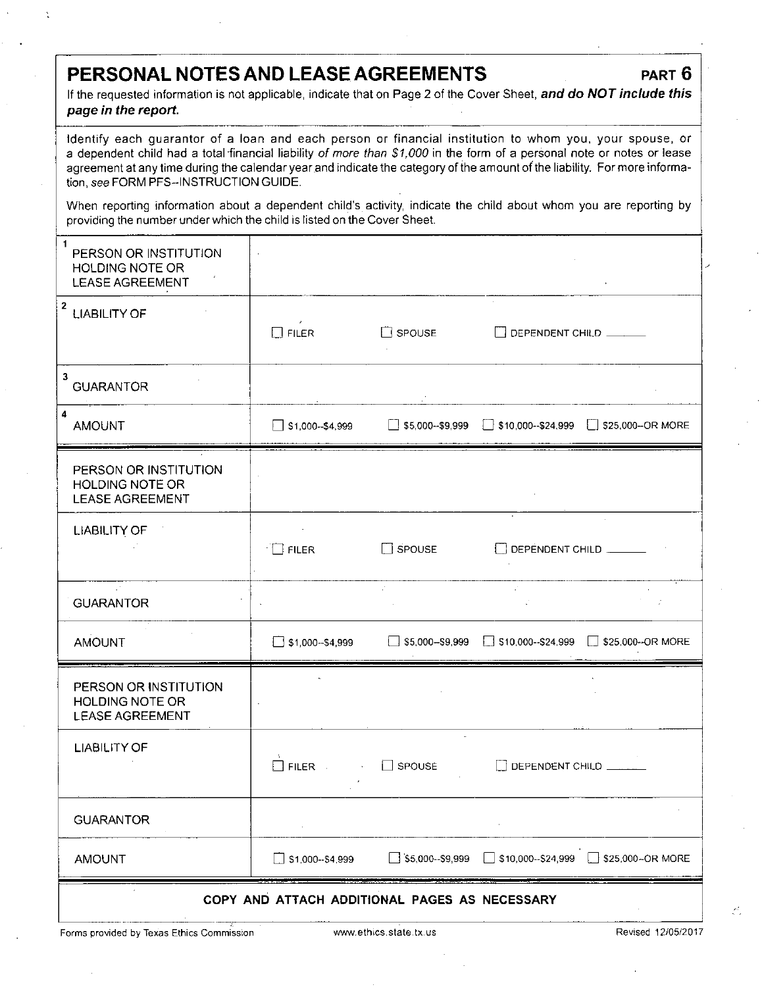### PERSONAL NOTES AND LEASE AGREEMENTS PART 6

If the requested information is not applicable, indicate that on Page 2 of the Cover Sheet, and do NOT include this page in the report.

Identify each guarantor of a loan and each person or financial institution to whom you, your spouse, or a dependent child had a total financial liability of more than \$1,000 in the form of a personal note or notes or lease agreement at any time during the calendar year and indicate the category of the amount of the liability. For more information, see FORM PFS-INSTRUCTION GUIDE.

When reporting information about a dependent child's activity, indicate the child about whom you are reporting by providing the number under which the child is listed on the Cover Sheet.

| $\mathbf{1}$<br>PERSON OR INSTITUTION<br><b>HOLDING NOTE OR</b><br>LEASE AGREEMENT |                                               |                         |                                                                     |
|------------------------------------------------------------------------------------|-----------------------------------------------|-------------------------|---------------------------------------------------------------------|
| 2<br><b>LIABILITY OF</b>                                                           | $\Box$ FILER                                  | $\Box$ SPOUSE           | DEPENDENT CHILD                                                     |
| $\mathbf{3}$<br><b>GUARANTOR</b>                                                   |                                               |                         |                                                                     |
| 4<br><b>AMOUNT</b>                                                                 | $\Box$ \$1,000--\$4,999                       | $\Box$ \$5,000--\$9,999 | $\Box$ \$10,000--\$24,999<br>S25,000-OR MORE                        |
| PERSON OR INSTITUTION<br><b>HOLDING NOTE OR</b><br><b>LEASE AGREEMENT</b>          |                                               |                         |                                                                     |
| <b>LIABILITY OF</b>                                                                | $\Box$ FILER                                  | $\Box$ SPOUSE           | DEPENDENT CHILD                                                     |
| $\sim 10^{11}$<br><b>GUARANTOR</b>                                                 |                                               | ÷.                      | пđ.<br>V.                                                           |
| <b>AMOUNT</b>                                                                      | \$1,000 -- \$4,999<br>$\perp$                 |                         | $\Box$ \$5,000-\$9,999 $\Box$ \$10,000--\$24,999<br>S25,000-OR MORE |
| PERSON OR INSTITUTION<br><b>HOLDING NOTE OR</b><br><b>LEASE AGREEMENT</b>          |                                               |                         |                                                                     |
| LIABILITY OF                                                                       | $\Box$ FILER                                  | SPOUSE                  | DEPENDENT CHILD                                                     |
| <b>GUARANTOR</b>                                                                   |                                               |                         |                                                                     |
| AMOUNT                                                                             | S1,000--\$4,999                               |                         | S5,000--\$9,999 S10,000--\$24,999 S25,000--OR MORE                  |
|                                                                                    | COPY AND ATTACH ADDITIONAL PAGES AS NECESSARY |                         |                                                                     |

Forms provided by Texas Ethics Commission www.ethics.state.tx.us Revised 12/05/2017

 $\mathcal{L}_\alpha$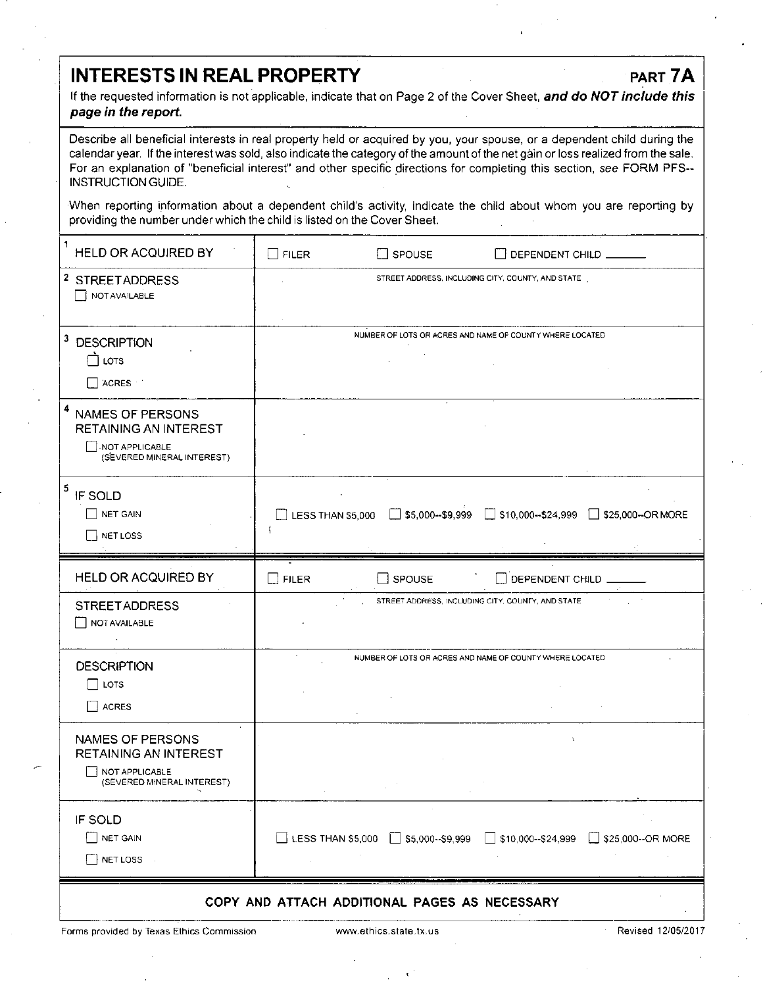| <b>INTERESTS IN REAL PROPERTY</b> |  |  | PART 7A |
|-----------------------------------|--|--|---------|
|-----------------------------------|--|--|---------|

If the requested information is not applicable, indicate that on Page 2 of the Cover Sheet, and do NOT include this page in the report.

Describe all beneficial interests in real property held or acquired by you, your spouse, or a dependent child during the calendar year. If the interest was sold, also indicate the category of the amount of the net gain or loss realized from the sale. For an explanation of "beneficial interest" and other specific directions for completing this section, see FORM PFS--INSTRUCTION GUIDE.

When reporting information about a dependent child's activity, indicate the child about whom you are reporting by providing the number under which the child is listed on the Cover Sheet.

| 1<br><b>HELD OR ACQUIRED BY</b>                                                                           | $\Box$ FILER      | SPOUSE        | DEPENDENT CHILD                                                            |
|-----------------------------------------------------------------------------------------------------------|-------------------|---------------|----------------------------------------------------------------------------|
| <sup>2</sup> STREETADDRESS<br>NOT AVAILABLE                                                               |                   |               | STREET ADDRESS, INCLUDING CITY, COUNTY, AND STATE                          |
| <sup>3</sup> DESCRIPTION<br>LOTS<br>ACRES 1                                                               |                   |               | NUMBER OF LOTS OR ACRES AND NAME OF COUNTY WHERE LOCATED                   |
| 4<br>NAMES OF PERSONS<br><b>RETAINING AN INTEREST</b><br>│ │ NOT APPLICABLE<br>(SEVERED MINERAL INTEREST) |                   |               |                                                                            |
| 5<br><b>IF SOLD</b><br>$\Box$ NET GAIN<br><b>NET LOSS</b>                                                 | LESS THAN \$5,000 |               | $\Box$ \$5,000--\$9,999 $\Box$ \$10,000--\$24,999 $\Box$ \$25,000--OR MORE |
| HELD OR ACQUIRED BY                                                                                       | $\square$ FILER   | <b>SPOUSE</b> | DEPENDENT CHILD                                                            |
|                                                                                                           |                   |               |                                                                            |
| <b>STREET ADDRESS</b><br>NOT AVAILABLE                                                                    |                   |               | STREET ADDRESS, INCLUDING CITY, COUNTY, AND STATE                          |
| <b>DESCRIPTION</b>                                                                                        |                   |               | NUMBER OF LOTS OR ACRES AND NAME OF COUNTY WHERE LOCATED                   |
| LOTS<br><b>ACRES</b>                                                                                      |                   |               |                                                                            |
| NAMES OF PERSONS<br><b>RETAINING AN INTEREST</b><br>NOT APPLICABLE<br>(SEVERED MINERAL INTEREST)          |                   |               |                                                                            |
| IF SOLD<br>NET GAIN<br>NET LOSS -                                                                         |                   |               | ULESS THAN \$5,000 US5,000--\$9,999 US10,000--\$24,999 US25,000--OR MORE   |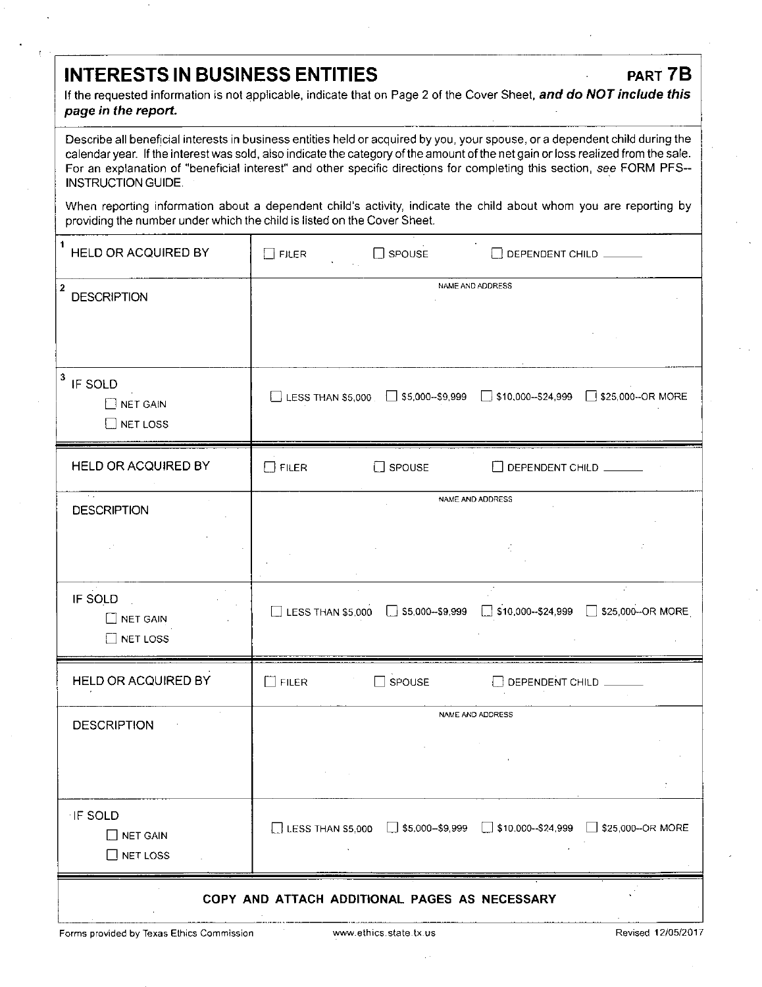### INTERESTS IN BUSINESS ENTITIES FART 7B

If the requested information is not applicable, indicate that on Page 2 of the Cover Sheet, and do NOT include this page in the report.

Describe all beneficial interests in business entities held or acquired by you, your spouse, or a dependent child during the calendar year If the interest was sold, also indicate the category of the amount of the net gain or loss realized from the sale. For an explanation of "beneficial interest" and other specific directions for completing this section, see FORM PFS-INSTRUCTION GUIDE.

When reporting information about a dependent child's activity, indicate the child about whom you are reporting by providing the number under which the child is listed on the Cover Sheet.

| 1<br>HELD OR ACQUIRED BY                  | $\square$ FILER  | $\square$ SPOUSE                              |  | $\Box$ DEPENDENT CHILD $\_\_\_\_\_\$ |                                                                               |
|-------------------------------------------|------------------|-----------------------------------------------|--|--------------------------------------|-------------------------------------------------------------------------------|
| 2<br><b>DESCRIPTION</b>                   | NAME AND ADDRESS |                                               |  |                                      |                                                                               |
|                                           |                  |                                               |  |                                      |                                                                               |
|                                           |                  |                                               |  |                                      |                                                                               |
| 3                                         |                  |                                               |  |                                      |                                                                               |
| IF SOLD<br>$\Box$ NET GAIN                |                  |                                               |  |                                      | UESS THAN \$5,000 G \$5,000--\$9,999 G \$10,000--\$24,999 G \$25,000--OR MORE |
| $\Box$ NET LOSS                           |                  |                                               |  |                                      |                                                                               |
|                                           |                  |                                               |  |                                      |                                                                               |
| HELD OR ACQUIRED BY                       | $\square$ FILER  | $\Box$ SPOUSE                                 |  | DEPENDENT CHILD                      |                                                                               |
| <b>DESCRIPTION</b>                        |                  |                                               |  | NAME AND ADDRESS                     |                                                                               |
|                                           |                  |                                               |  |                                      |                                                                               |
|                                           |                  |                                               |  |                                      |                                                                               |
| IF SOLD                                   |                  |                                               |  |                                      |                                                                               |
| $\Box$ NET GAIN                           |                  |                                               |  |                                      | LESS THAN \$5,000 S5,000-\$9,999 S10,000-\$24,999 S25,000-OR MORE             |
| $\Box$ NET LOSS                           |                  |                                               |  |                                      |                                                                               |
| HELD OR ACQUIRED BY                       | $\square$ filer  | $\Box$ SPOUSE                                 |  | DEPENDENT CHILD                      |                                                                               |
| <b>DESCRIPTION</b>                        |                  |                                               |  | NAME AND ADDRESS                     |                                                                               |
|                                           |                  |                                               |  |                                      |                                                                               |
|                                           |                  |                                               |  |                                      |                                                                               |
|                                           |                  |                                               |  |                                      |                                                                               |
| IF SOLD                                   |                  |                                               |  |                                      | □ LESS THAN S5,000 □ \$5,000-\$9,999 □ \$10,000--\$24,999 □ \$25,000--OR MORE |
| $\Box$ NET GAIN<br>NET LOSS               |                  |                                               |  |                                      |                                                                               |
|                                           |                  |                                               |  |                                      |                                                                               |
|                                           |                  | COPY AND ATTACH ADDITIONAL PAGES AS NECESSARY |  |                                      |                                                                               |
| Forms provided by Texas Ethics Commission |                  | www.ethics.state.tx.us                        |  |                                      | Revised 12/05/2017                                                            |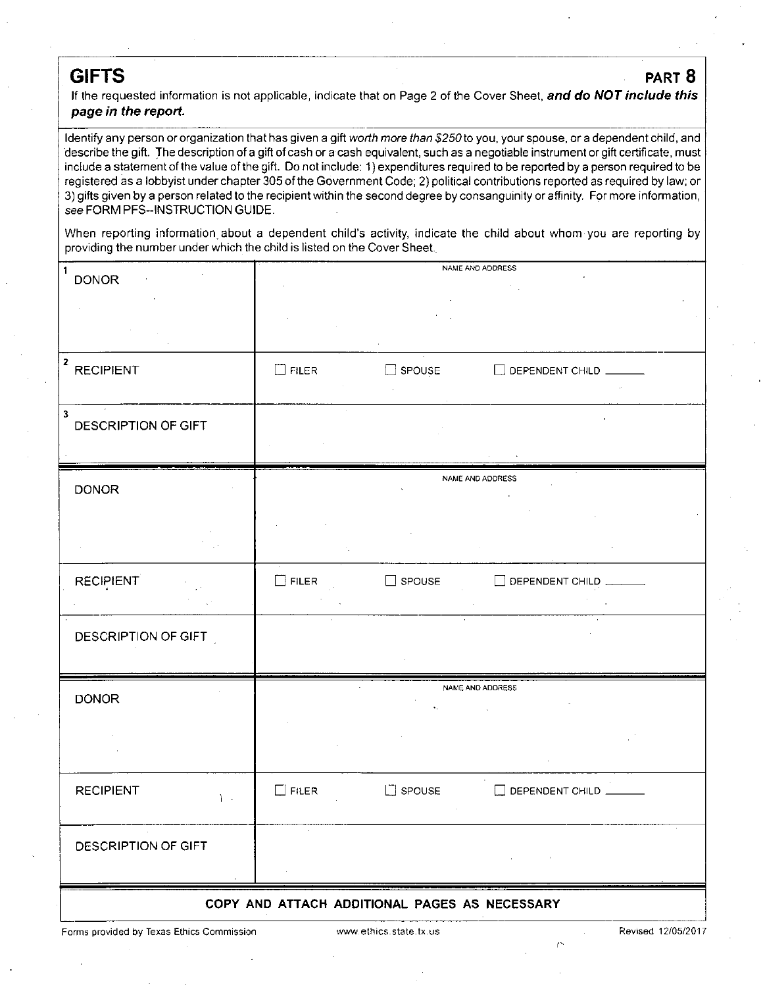### **GIFTS PART 8**

**If the requested information is not applicable, indicate that on Page 2 of the Cover Sheet, and do NOT include this page in the report.** 

Identify any person or organization that has given a gift worth more than \$250 to you, your spouse, or a dependent child, and describe the gift. The description of a gift of cash or a cash equivalent, such as a negotiable instrument or gift certificate, must include a statement of the value of the gift. Do not include: 1) expenditures required to be reported by a person required to be registered as a lobbyist under chapter 305 of the Government Code; 2) political contributions reported as required by law; or 3) gifts given by a person related to the recipient within the second degree by consanguinity or affinity. For more information, see FORM PFS-INSTRUCTION GUIDE.

When reporting information about a dependent child's activity, indicate the child about whom you are reporting by providing the number under which the child is listed on the Cover Sheet.

| $\mathbf{1}$<br><b>DONOR</b>          |                                               |               | NAME AND ADDRESS              |
|---------------------------------------|-----------------------------------------------|---------------|-------------------------------|
|                                       |                                               |               |                               |
|                                       |                                               |               |                               |
|                                       |                                               |               |                               |
|                                       |                                               |               |                               |
| $2$ RECIPIENT                         | $\Box$ FILER                                  |               | SPOUSE DEPENDENT CHILD        |
|                                       |                                               |               |                               |
|                                       |                                               |               |                               |
| 3 <sup>1</sup><br>DESCRIPTION OF GIFT |                                               |               |                               |
|                                       |                                               |               |                               |
|                                       |                                               |               |                               |
| <b>DONOR</b>                          |                                               |               | NAME AND ADDRESS              |
|                                       |                                               |               |                               |
|                                       |                                               |               |                               |
|                                       |                                               |               |                               |
|                                       |                                               |               |                               |
| <b>RECIPIENT</b>                      | $\Box$ FILER                                  | $\Box$ SPOUSE | DEPENDENT CHILD               |
|                                       |                                               |               |                               |
|                                       |                                               |               |                               |
| DESCRIPTION OF GIFT                   |                                               |               |                               |
|                                       |                                               |               |                               |
|                                       |                                               |               |                               |
| <b>DONOR</b>                          |                                               |               | NAME AND ADDRESS              |
|                                       |                                               |               |                               |
|                                       |                                               |               |                               |
|                                       |                                               |               |                               |
|                                       |                                               |               |                               |
| <b>RECIPIENT</b><br>$\mathcal{L}$     | $\Box$ FILER                                  | $\Box$ spouse | DEPENDENT CHILD               |
|                                       |                                               |               |                               |
|                                       |                                               |               |                               |
| DESCRIPTION OF GIFT                   |                                               |               | and the state of the state of |
|                                       |                                               |               |                               |
|                                       |                                               |               |                               |
|                                       | COPY AND ATTACH ADDITIONAL PAGES AS NECESSARY |               |                               |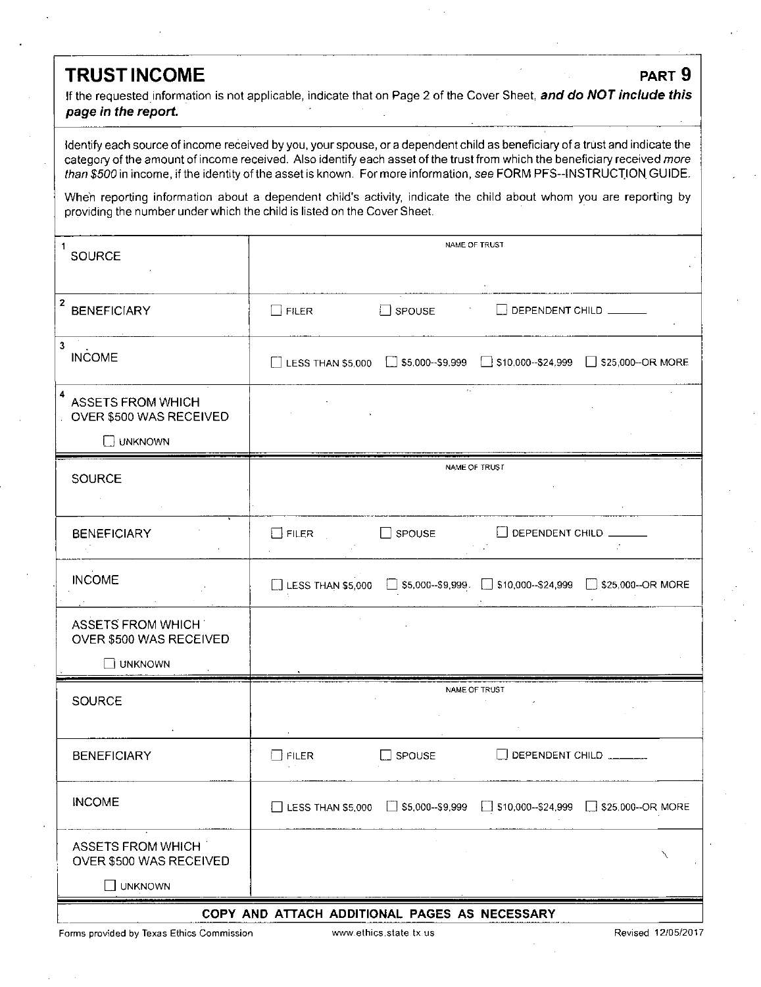### **TRUST INCOME PART 9**

**If the requested information is not applicable, indicate that on Page 2 of the Cover Sheet, and do NOT include this page in the report.** 

Identify each source of income received by you, your spouse, or a dependent child as beneficiary of a trust and indicate the category of the amount of income received. Also identify each asset of the trust from which the beneficiary received more than \$500 in income, if the identity of the asset is known. For more information, see FORM PFS-INSTRUCTION GUIDE.

When reporting information about a dependent child's activity, indicate the child about whom you are reporting by providing the number under which the child is listed on the Cover Sheet.

| 1<br>SOURCE                                                                | NAME OF TRUST                                                                  |
|----------------------------------------------------------------------------|--------------------------------------------------------------------------------|
| $\mathbf{2}$<br><b>BENEFICIARY</b>                                         | $\Box$ SPOUSE<br>$\Box$ FILER<br>$\Box$ DEPENDENT CHILD $\_\_$                 |
| 3<br><b>INCOME</b>                                                         |                                                                                |
| 4<br><b>ASSETS FROM WHICH</b><br>OVER \$500 WAS RECEIVED<br><b>UNKNOWN</b> |                                                                                |
| SOURCE                                                                     | NAME OF TRUST                                                                  |
| <b>BENEFICIARY</b>                                                         | $\Box$ DEPENDENT CHILD $\Box$<br>$\Box$ Filer<br>$\Box$ SPOUSE                 |
| <b>INCOME</b>                                                              | 55,000-\$9,999. S10,000-\$24,999 S25,000-OR MORE<br>$\Box$ LESS THAN \$5,000   |
| ASSETS FROM WHICH<br>OVER \$500 WAS RECEIVED<br>UNKNOWN                    |                                                                                |
| SOURCE                                                                     | NAME OF TRUST                                                                  |
| <b>BENEFICIARY</b>                                                         | $\square$ SPOUSE<br>DEPENDENT CHILD _______<br>$\exists$ FILER<br>$\mathbf{I}$ |
| <b>INCOME</b>                                                              | S5,000--\$9,999<br>S10,000-\$24,999 S25,000-OR MORE<br>LESS THAN \$5,000       |
| <b>ASSETS FROM WHICH</b><br>OVER \$500 WAS RECEIVED                        | ╲                                                                              |
| $\Box$ UNKNOWN                                                             |                                                                                |
|                                                                            | COPY AND ATTACH ADDITIONAL PAGES AS NECESSARY                                  |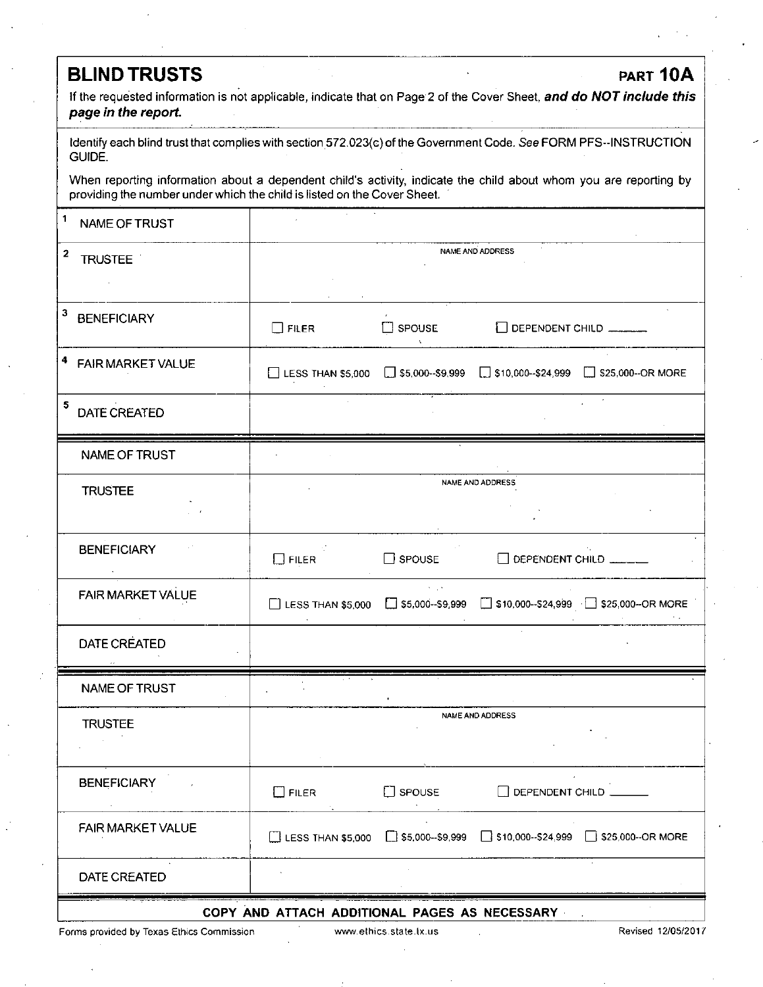|              | <b>BLIND TRUSTS</b><br>page in the report.                               |                                               |                            | PART 10A<br>If the requested information is not applicable, indicate that on Page 2 of the Cover Sheet, and do NOT include this |
|--------------|--------------------------------------------------------------------------|-----------------------------------------------|----------------------------|---------------------------------------------------------------------------------------------------------------------------------|
|              | GUIDE.                                                                   |                                               |                            | Identify each blind trust that complies with section 572.023(c) of the Government Code. See FORM PFS--INSTRUCTION               |
|              | providing the number under which the child is listed on the Cover Sheet. |                                               |                            | When reporting information about a dependent child's activity, indicate the child about whom you are reporting by               |
| 1            | NAME OF TRUST                                                            |                                               |                            |                                                                                                                                 |
| $\mathbf{z}$ | <b>TRUSTEE</b>                                                           |                                               |                            | NAME AND ADDRESS                                                                                                                |
| 3            | <b>BENEFICIARY</b>                                                       | $\Box$ FILER                                  | $\square$ SPOUSE           | DEPENDENT CHILD                                                                                                                 |
| 4            | <b>FAIR MARKET VALUE</b>                                                 | $\Box$ LESS THAN \$5,000                      | $55,000 - 59,999$          | S10,000--\$24,999 S25,000--OR MORE                                                                                              |
| 5            | DATE CREATED                                                             |                                               |                            |                                                                                                                                 |
|              | <b>NAME OF TRUST</b>                                                     |                                               |                            |                                                                                                                                 |
|              | <b>TRUSTEE</b>                                                           |                                               |                            | NAME AND ADDRESS                                                                                                                |
|              |                                                                          |                                               |                            |                                                                                                                                 |
|              | <b>BENEFICIARY</b>                                                       | $\square$ FILER                               | $\exists$ spouse           | DEPENDENT CHILD                                                                                                                 |
|              | <b>FAIR MARKET VALUE</b>                                                 | LESS THAN \$5,000                             | $\square$ \$5,000--\$9,999 | \$10,000--\$24,999 $\Box$ \$25,000--OR MORE<br>$\sim$ $\sim$                                                                    |
|              | DATE CREATED                                                             |                                               |                            |                                                                                                                                 |
|              | NAME OF TRUST                                                            |                                               |                            |                                                                                                                                 |
|              | <b>TRUSTEE</b>                                                           |                                               |                            | NAME AND ADDRESS                                                                                                                |
|              |                                                                          |                                               |                            |                                                                                                                                 |
|              | <b>BENEFICIARY</b>                                                       | $\Box$ FILER                                  |                            | $\Box$ SPOUSE $\Box$ DEPENDENT CHILD                                                                                            |
|              | FAIR MARKET VALUE                                                        |                                               |                            |                                                                                                                                 |
|              | DATE CREATED                                                             |                                               |                            |                                                                                                                                 |
|              |                                                                          | COPY AND ATTACH ADDITIONAL PAGES AS NECESSARY |                            |                                                                                                                                 |

Forms provided by Texas Ethics Commission www.ethics.state.tx.us ethics.state.tx.us Revised 12/05/2017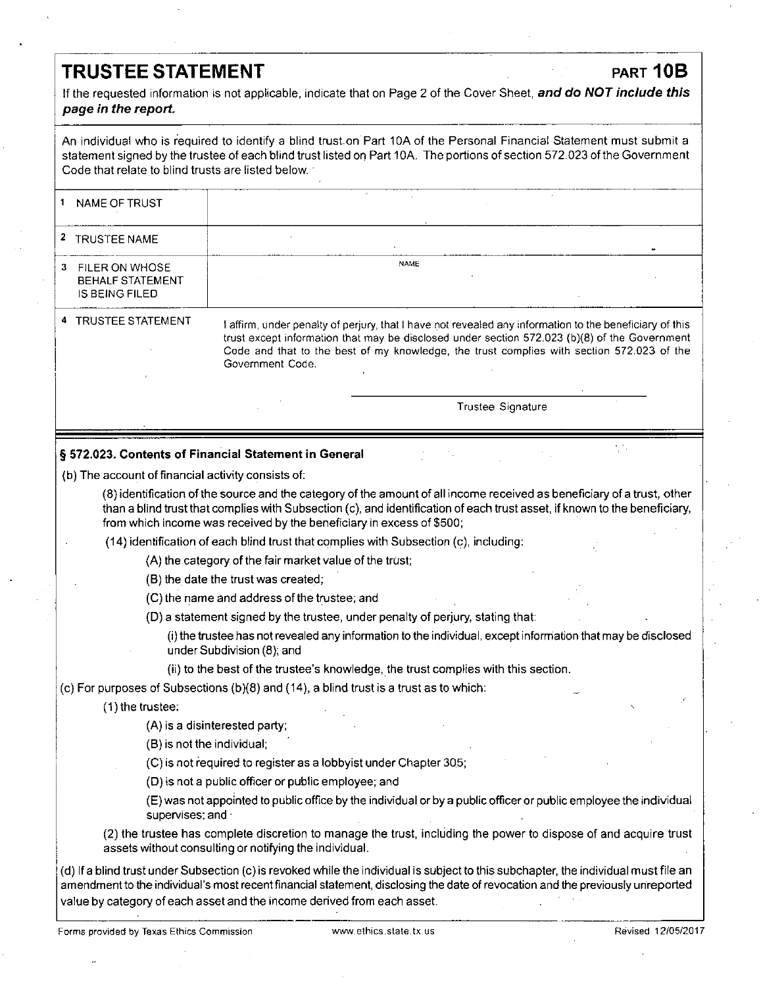### **TRUSTEE STATEMENT**

If the requested information is not applicable, indicate that on Page 2 of the Cover Sheet, and do NOT include this page in the report.

An individual who is required to identify a blind trust on Part 10A of the Personal Financial Statement must submit a statement signed by the trustee of each blind trust listed on Part IOA. The portions of section 572.023 of the Government Code that relate to blind trusts are listed below.

| 1<br>NAME OF TRUST                                                 |                                                                                                                                                                                                                                                                                                                           |
|--------------------------------------------------------------------|---------------------------------------------------------------------------------------------------------------------------------------------------------------------------------------------------------------------------------------------------------------------------------------------------------------------------|
| 2 TRUSTEE NAME                                                     |                                                                                                                                                                                                                                                                                                                           |
| FILER ON WHOSE<br><b>BEHALF STATEMENT</b><br><b>IS BEING FILED</b> | <b>NAME</b>                                                                                                                                                                                                                                                                                                               |
| 4 TRUSTEE STATEMENT                                                | I affirm, under penalty of perjury, that I have not revealed any information to the beneficiary of this<br>trust except information that may be disclosed under section 572.023 (b)(8) of the Government<br>Code and that to the best of my knowledge, the trust complies with section 572.023 of the<br>Government Code. |
|                                                                    |                                                                                                                                                                                                                                                                                                                           |
|                                                                    | Trustee Signature                                                                                                                                                                                                                                                                                                         |
|                                                                    |                                                                                                                                                                                                                                                                                                                           |
|                                                                    | § 572.023. Contents of Financial Statement in General                                                                                                                                                                                                                                                                     |
| (b) The account of financial activity consists of:                 |                                                                                                                                                                                                                                                                                                                           |
|                                                                    | (8) identification of the source and the category of the amount of all income received as beneficiary of a trust, other                                                                                                                                                                                                   |
|                                                                    | than a blind trust that complies with Subsection (c), and identification of each trust asset, if known to the beneficiary,                                                                                                                                                                                                |
|                                                                    | from which income was received by the beneficiary in excess of \$500;                                                                                                                                                                                                                                                     |
|                                                                    | (14) identification of each blind trust that complies with Subsection (c), including:                                                                                                                                                                                                                                     |
|                                                                    | (A) the category of the fair market value of the trust;                                                                                                                                                                                                                                                                   |
|                                                                    | (B) the date the trust was created;                                                                                                                                                                                                                                                                                       |
|                                                                    | (C) the name and address of the trustee; and                                                                                                                                                                                                                                                                              |
|                                                                    | (D) a statement signed by the trustee, under penalty of perjury, stating that:                                                                                                                                                                                                                                            |
|                                                                    | (i) the trustee has not revealed any information to the individual, except information that may be disclosed<br>under Subdivision (8); and                                                                                                                                                                                |
|                                                                    | (ii) to the best of the trustee's knowledge, the trust complies with this section.                                                                                                                                                                                                                                        |
|                                                                    | (c) For purposes of Subsections (b)(8) and (14), a blind trust is a trust as to which:                                                                                                                                                                                                                                    |
| $(1)$ the trustee:                                                 |                                                                                                                                                                                                                                                                                                                           |
|                                                                    | (A) is a disinterested party;                                                                                                                                                                                                                                                                                             |
|                                                                    | (B) is not the individual;                                                                                                                                                                                                                                                                                                |
|                                                                    | (C) is not required to register as a lobby ist under Chapter 305;                                                                                                                                                                                                                                                         |
|                                                                    | (D) is not a public officer or public employee; and                                                                                                                                                                                                                                                                       |
| supervises; and                                                    | (E) was not appointed to public office by the individual or by a public officer or public employee the individual                                                                                                                                                                                                         |
|                                                                    | (2) the trustee has complete discretion to manage the trust, including the power to dispose of and acquire trust<br>assets without consulting or notifying the individual.                                                                                                                                                |
|                                                                    |                                                                                                                                                                                                                                                                                                                           |

(d) If a blind trust under Subsection (c) is revoked while the individual is subject to this subchapter, the individual must file an amendment to the individual's most recent financial statement, disclosing the date of revocation and the previously unreported value by category of each asset and the income derived from each asset.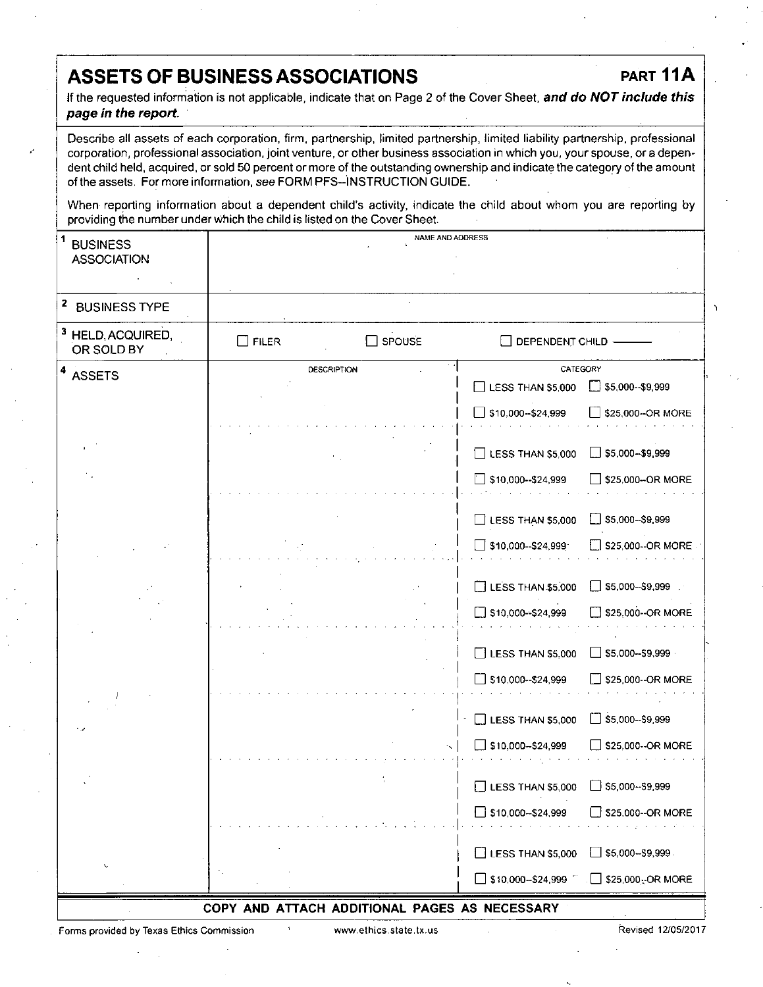### ASSETS OF BUSINESS ASSOCIATIONS FART 11A

If the requested information is not applicable, indicate that on Page 2 of the Cover Sheet, and do NOT include this page in the report.

Describe all assets of each corporation, firm, partnership, limited partnership, limited liability partnership, professional corporation, professional association, joint venture, or other business association in which you, your spouse, or a dependent child held, acquired, or sold 50 percent or more of the outstanding ownership and indicate the category of the amount of the assets. For more information, see FORM PFS-INSTRUCTION GUIDE.

When reporting information about a dependent child's activity, indicate the child about whom you are reporting by providing the number under vvhich the child is listed on the Cover Sheet.

| 1<br><b>BUSINESS</b><br><b>ASSOCIATION</b> | NAME AND ADDRESS                              |                                                                                              |
|--------------------------------------------|-----------------------------------------------|----------------------------------------------------------------------------------------------|
| <sup>2</sup> BUSINESS TYPE                 |                                               |                                                                                              |
| <sup>3</sup> HELD, ACQUIRED,<br>OR SOLD BY | $\Box$ FILER<br>SPOUSE                        | DEPENDENT CHILD                                                                              |
| <sup>4</sup> ASSETS                        | <b>DESCRIPTION</b>                            | CATEGORY<br>$\Box$ LESS THAN \$5,000<br>$5,000 - $9,999$                                     |
|                                            |                                               | \$10,000-\$24,999<br>\$25,000-OR MORE<br>$\overline{\phantom{a}}$                            |
|                                            |                                               |                                                                                              |
|                                            |                                               | $55,000 - $9,999$<br>LESS THAN \$5,000                                                       |
|                                            |                                               | 510,000--\$24,999 [<br>\$25,000-OR MORE                                                      |
|                                            |                                               | $\Box$ \$5,000--\$9,999<br>$\Box$ LESS THAN \$5,000                                          |
|                                            |                                               | \$10,000--\$24,999<br>S25,000-OR MORE                                                        |
|                                            |                                               | $\Box$ \$5,000--\$9,999 .<br>$\Box$ LESS THAN \$5,000                                        |
|                                            |                                               | S10,000-\$24,999<br>\$25,000 -- OR MORE                                                      |
|                                            |                                               |                                                                                              |
|                                            |                                               | $\Box$ LESS THAN \$5,000<br>\$5,000-\$9,999<br>$\Box$ \$10,000--\$24,999<br>S25,000--OR MORE |
|                                            |                                               |                                                                                              |
|                                            |                                               | $55,000 - 59,999$<br>$\Box$ LESS THAN \$5,000                                                |
|                                            |                                               | S10,000-\$24,999<br>\$25,000 -- OR MORE                                                      |
|                                            |                                               | □ LESS THAN \$5,000 □ \$5,000--\$9,999                                                       |
|                                            |                                               | S10,000--\$24,999<br>S25.000-OR MORE                                                         |
|                                            |                                               | $\Box$ \$5,000-\$9,999 $\Box$<br>$\Box$ LESS THAN \$5,000                                    |
|                                            |                                               | $$10,000 - $24,999$ $\Box$ \$25,000 OR MORE                                                  |
|                                            | COPY AND ATTACH ADDITIONAL PAGES AS NECESSARY |                                                                                              |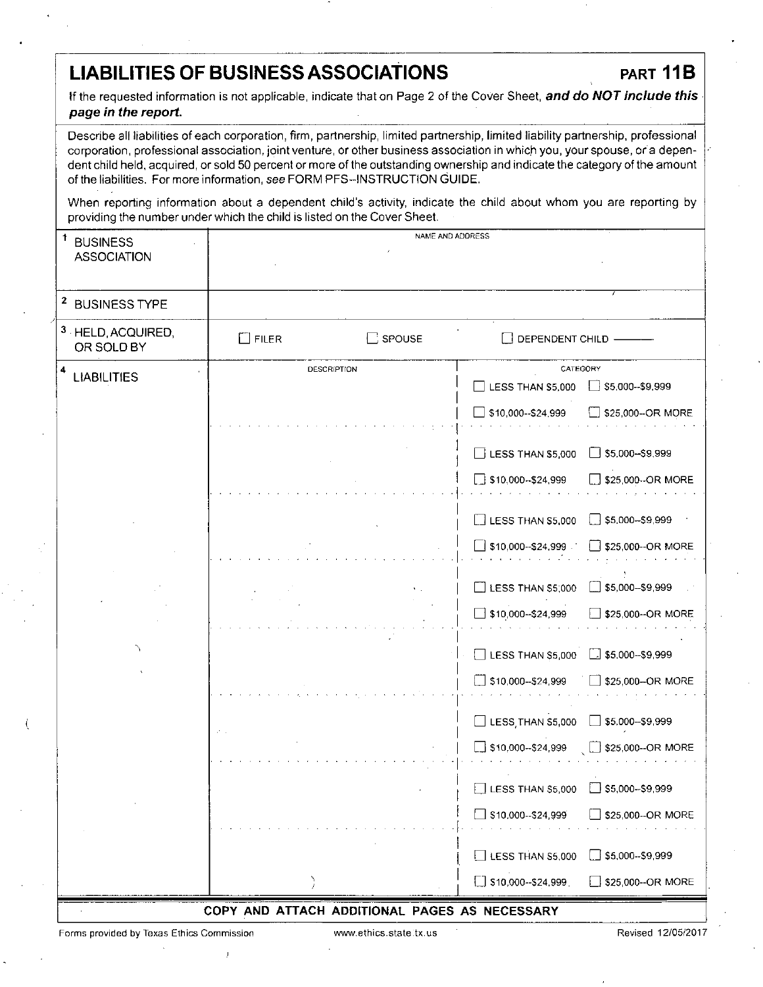### **LIABILITIES OF BUSINESS ASSOCIATIONS**

If the requested information is not applicable, indicate that on Page 2 of the Cover Sheet, and do NOT include this page in the report.

Describe all liabilities of each corporation, firm, partnership, limited partnership, limited liability partnership, professional corporation, professional association, joint venture, or other business association in which you, your spouse, or a dependent child held, acquired, or sold 50 percent or more of the outstanding ownership and indicate the category of the amount of the liabilities. For more information, see FORM PFS-INSTRUCTION GUIDE.

When reporting information about a dependent child's activity, indicate the child about whom you are reporting by providing the number under which the child is listed on the Cover Sheet.

| 1<br><b>BUSINESS</b><br><b>ASSOCIATION</b> |                                             | NAME AND ADORESS                              |                                                          |
|--------------------------------------------|---------------------------------------------|-----------------------------------------------|----------------------------------------------------------|
|                                            |                                             |                                               |                                                          |
| <sup>2</sup> BUSINESS TYPE                 |                                             |                                               |                                                          |
| <sup>3</sup> HELD, ACQUIRED,<br>OR SOLD BY | <b>FILER</b><br>П                           | $\Box$ SPOUSE                                 | DEPENDENT CHILD                                          |
| 4<br><b>LIABILITIES</b>                    |                                             | <b>DESCRIPTION</b>                            | CATEGORY<br>LESS THAN \$5,000<br>$\Box$ \$5,000--\$9,999 |
|                                            |                                             |                                               | \$10,000 -- \$24,999<br>$\mathbb J$ \$25,000--OR MORE    |
|                                            |                                             |                                               |                                                          |
|                                            |                                             |                                               | S5,000-S9,999<br>$\Box$ LESS THAN \$5,000                |
|                                            |                                             |                                               | $\Box$ \$10,000 - \$24,999<br>S25,000--OR MORE           |
|                                            |                                             |                                               | $\Box$ \$5,000--\$9,999<br>$\Box$ LESS THAN \$5,000      |
|                                            |                                             |                                               | \$10,000--\$24,999<br>∃ \$25,000--OR MORE                |
|                                            |                                             |                                               | \$5,000-\$9,999<br>LESS THAN \$5,000                     |
|                                            |                                             |                                               | $\Box$ \$10,000--\$24,999<br>$\exists$ \$25,000--OR MORE |
|                                            |                                             |                                               | $\Box$ \$5,000--\$9,999<br>$\Box$ LESS THAN \$5,000      |
|                                            |                                             |                                               | $\Box$ \$10,000--\$24,999<br>\$25,000-OR MORE            |
|                                            |                                             |                                               |                                                          |
|                                            | $\mathcal{L}^{\mathcal{P}}$ . $\mathcal{L}$ |                                               | $\Box$ LESS, THAN \$5,000<br>\$5,000-\$9,999             |
|                                            |                                             |                                               | $\Box$ \$10,000--\$24,999<br>\$25,000--OR MORE           |
|                                            |                                             |                                               | □ LESS THAN \$5,000 □ \$5,000-\$9,999                    |
|                                            |                                             |                                               | 510,000--\$24,999<br>\$25,000-OR MORE                    |
|                                            |                                             |                                               | \$5,000--\$9,999<br>LESS THAN \$5,000                    |
|                                            |                                             |                                               | $\Box$ \$10,000--\$24,999<br>\$25,000-OR MORE            |
|                                            |                                             | COPY AND ATTACH ADDITIONAL PAGES AS NECESSARY |                                                          |

Forms provided by Texas Ethics Commission example www.ethics.state.tx.us example of the Revised 12/05/2017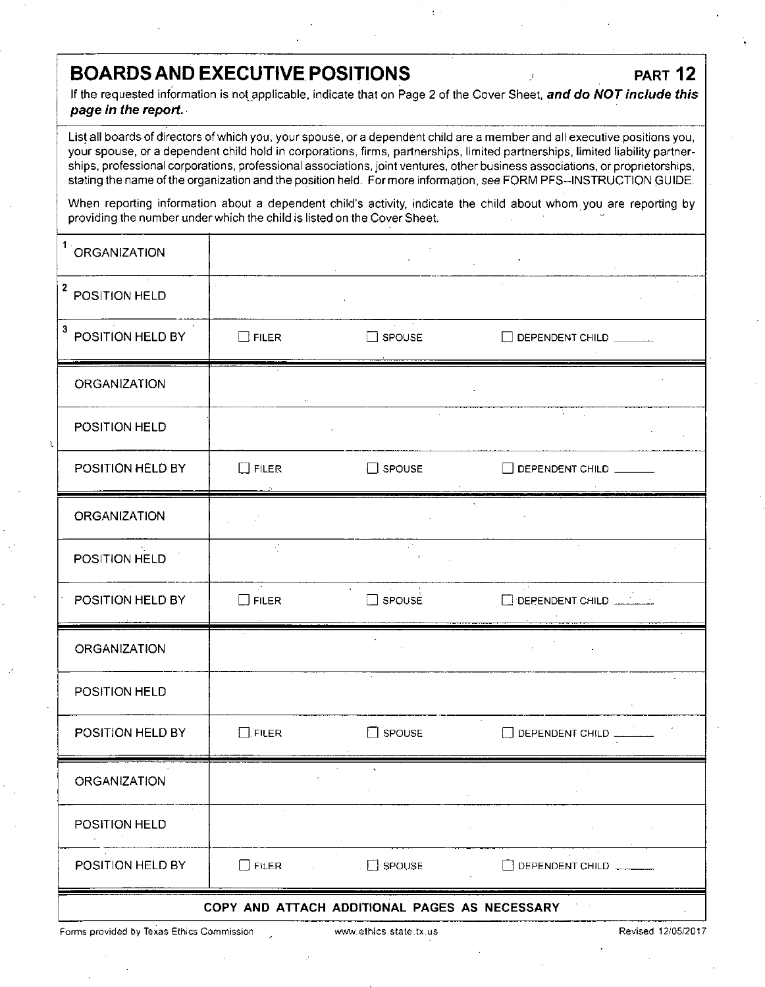### BOARDS AND EXECUTIVE POSITIONS FART 12

If the requested information is not applicable, indicate that on Page 2 of the Cover Sheet, and do NOT include this page in the report.

List all boards of directors of which you, your spouse, or a dependent child are a member and all executive positions you, your spouse, or a dependent child hold in corporations, firms, partnerships, limited partnerships, limited liability partnerships, professional corporations, professional associations, joint ventures, other business associations, or proprietorships, stating the name of the organization and the position held. For more information, see FORM PFS-INSTRUCTION GUIDE.

When reporting information about a dependent child's activity, indicate the child about whom you are reporting by providing the number under which the child is listed on the Cover Sheet.

| $1$ ORGANIZATION              |                    |                                               |                                |
|-------------------------------|--------------------|-----------------------------------------------|--------------------------------|
| <sup>2</sup> POSITION HELD    |                    |                                               |                                |
| <sup>3</sup> POSITION HELD BY | $\Box$ FILER       | $\Box$ SPOUSE                                 | DEPENDENT CHILD                |
| <b>ORGANIZATION</b>           |                    |                                               |                                |
| POSITION HELD                 |                    |                                               |                                |
| POSITION HELD BY              | $\square$ FILER    | $\Box$ SPOUSE                                 | DEPENDENT CHILD                |
| <b>ORGANIZATION</b>           |                    |                                               |                                |
| POSITION HELD                 |                    |                                               |                                |
| POSITION HELD BY              | A.<br>$\Box$ FILER | <b>Carl Corporation</b><br>$\Box$ SPOUSE      | DEPENDENT CHILD                |
| <b>ORGANIZATION</b>           |                    |                                               |                                |
| POSITION HELD                 |                    |                                               |                                |
| POSITION HELD BY              | $\Box$ FILER       | $\square$ SPOUSE                              | DEPENDENT CHILD                |
| <b>ORGANIZATION</b>           |                    |                                               |                                |
| POSITION HELD                 |                    | $\sim$                                        | the term of the control of the |
| POSITION HELD BY              | $\Box$ FILER       | $\Box$ SPOUSE                                 | DEPENDENT CHILD                |
|                               |                    | COPY AND ATTACH ADDITIONAL PAGES AS NECESSARY |                                |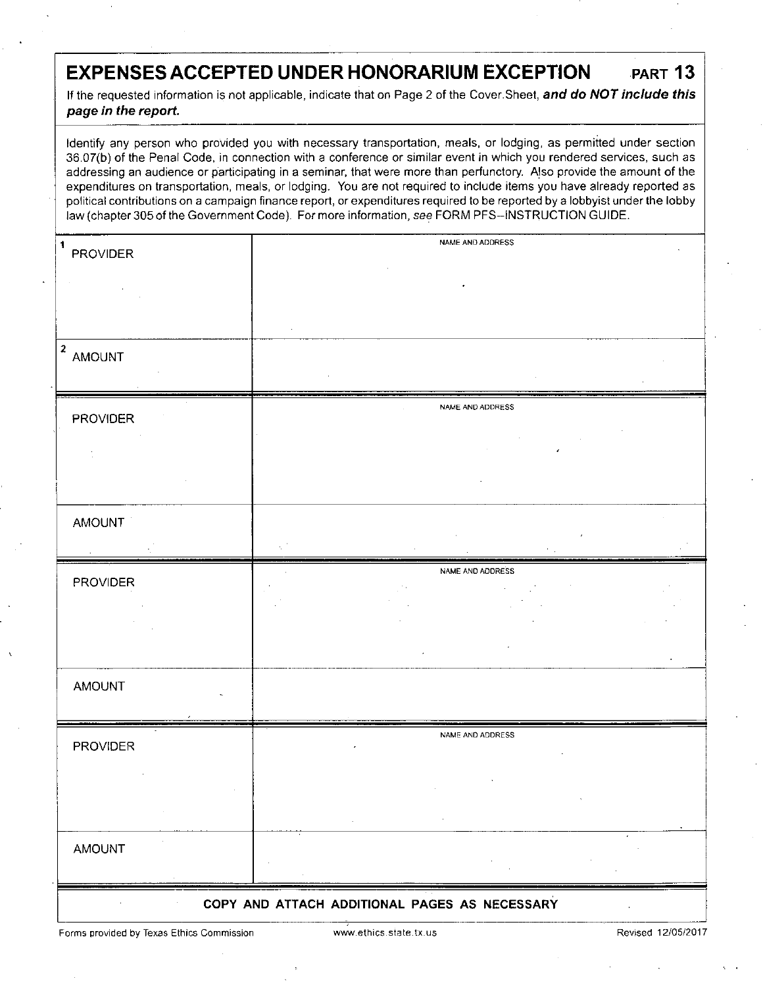### EXPENSES ACCEPTED UNDER HONORARIUM EXCEPTION PART 13

If the requested information is not applicable, indicate that on Page 2 of the Cover.Sheet, and do NOT include this page in the report.

Identify any person who provided you with necessary transportation, meals, or lodging, as permitted under section 36.07(b) of the Penal Code, in connection with a conference or similar event in which you rendered services, such as addressing an audience or participating in a seminar, that were more than perfunctory. Also provide the amount of the expenditures on transportation, meals, or lodging. You are not required to include items you have already reported as political contributions on a campaign finance report, or expenditures required to be reported by a lobbyist under the lobby law (chapter 305 of the Government Code). For more information, see FORM PFS-INSTRUCTION GUIDE.

| 1<br><b>PROVIDER</b>                     | NAME AND ADDRESS                              |
|------------------------------------------|-----------------------------------------------|
|                                          |                                               |
|                                          |                                               |
| $\overline{\mathbf{2}}$<br><b>AMOUNT</b> |                                               |
|                                          |                                               |
| <b>PROVIDER</b>                          | NAME AND ADDRESS                              |
|                                          |                                               |
|                                          |                                               |
| <b>AMOUNT</b>                            |                                               |
|                                          |                                               |
| PROVIDER                                 | NAME AND ADDRESS                              |
|                                          |                                               |
|                                          |                                               |
|                                          |                                               |
|                                          |                                               |
| AMOUNT                                   |                                               |
|                                          |                                               |
| PROVIDER                                 | NAME AND ADDRESS                              |
|                                          |                                               |
|                                          |                                               |
|                                          |                                               |
| <b>AMOUNT</b>                            |                                               |
|                                          |                                               |
|                                          | COPY AND ATTACH ADDITIONAL PAGES AS NECESSARY |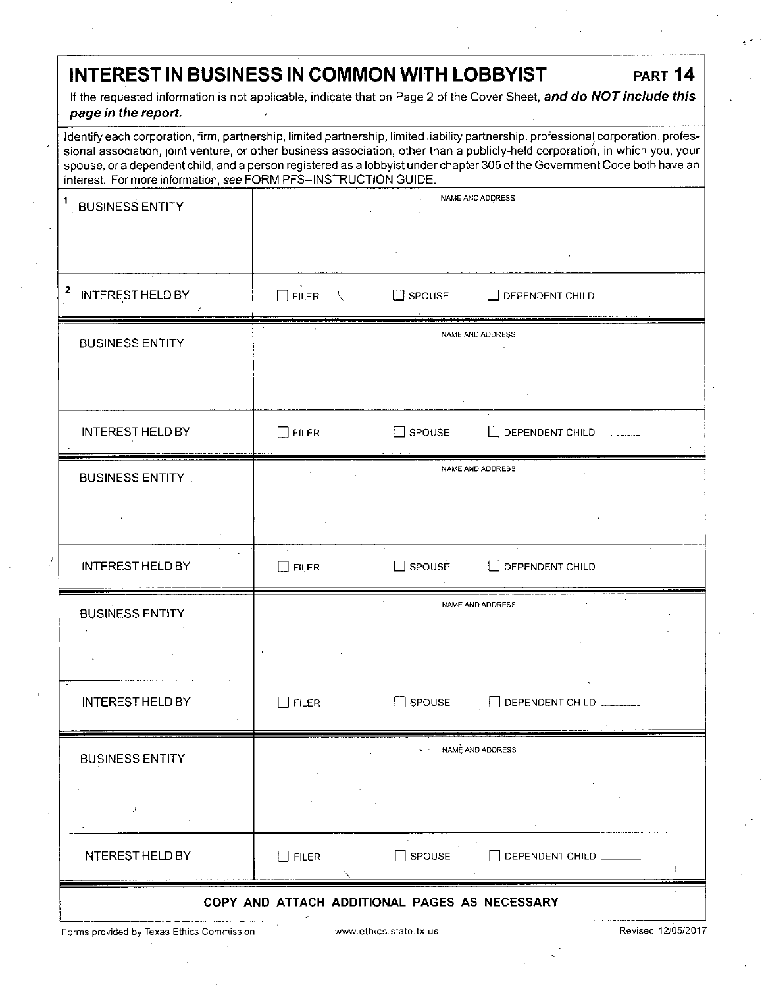### INTEREST IN BUSINESS IN COMMON WITH LOBBYIST PART 14

If the requested information is not applicable, indicate that on Page 2 of the Cover Sheet, and do NOT include this page in the report.

Identify each corporation, firm, partnership, limited partnership, limited liability partnership, professional corporation, professional association, joint venture, or other business association, other than a publicly-held corporation, in which you, your spouse, or a dependent child, and a person registered as a lobbyist under chapter 305 of the Government Code both have an interest. For more information, see FORM PFS-INSTRUCTION GUIDE.

| interest. That more implified only see FORWILL OF INSTITUOU HOM OUTD<br><b>BUSINESS ENTITY</b> |                                 | NAME AND ADDRESS |                               |
|------------------------------------------------------------------------------------------------|---------------------------------|------------------|-------------------------------|
|                                                                                                |                                 |                  |                               |
|                                                                                                |                                 |                  |                               |
| $\mathbf{2}$<br>INTEREST HELD BY                                                               | $\Box$ FILER $\qquad \setminus$ | $\Box$ SPOUSE    | DEPENDENT CHILD               |
| <b>BUSINESS ENTITY</b>                                                                         |                                 | NAME AND ADDRESS |                               |
|                                                                                                |                                 |                  |                               |
| INTEREST HELD BY                                                                               | $\Box$ FILER                    | $\Box$ SPOUSE    | DEPENDENT CHILD               |
| <b>BUSINESS ENTITY</b>                                                                         |                                 | NAME AND ADDRESS |                               |
|                                                                                                |                                 |                  |                               |
| <b>INTEREST HELD BY</b>                                                                        | $\Box$ Filer                    |                  | SPOUSE DEPENDENT CHILD        |
| <b>BUSINESS ENTITY</b>                                                                         |                                 |                  | NAME AND ADDRESS              |
|                                                                                                |                                 |                  |                               |
| INTEREST HELD BY                                                                               | $\Box$ FILER                    | $\Box$ SPOUSE    | DEPENDENT CHILD               |
| <b>BUSINESS ENTITY</b>                                                                         |                                 |                  | NAME AND ADDRESS              |
|                                                                                                |                                 |                  |                               |
| J                                                                                              |                                 |                  |                               |
| INTEREST HELD BY                                                                               | $\square$ FILER                 | SPOUSE<br>n      | $\Box$ DEPENDENT CHILD $\Box$ |
| COPY AND ATTACH ADDITIONAL PAGES AS NECESSARY                                                  |                                 |                  |                               |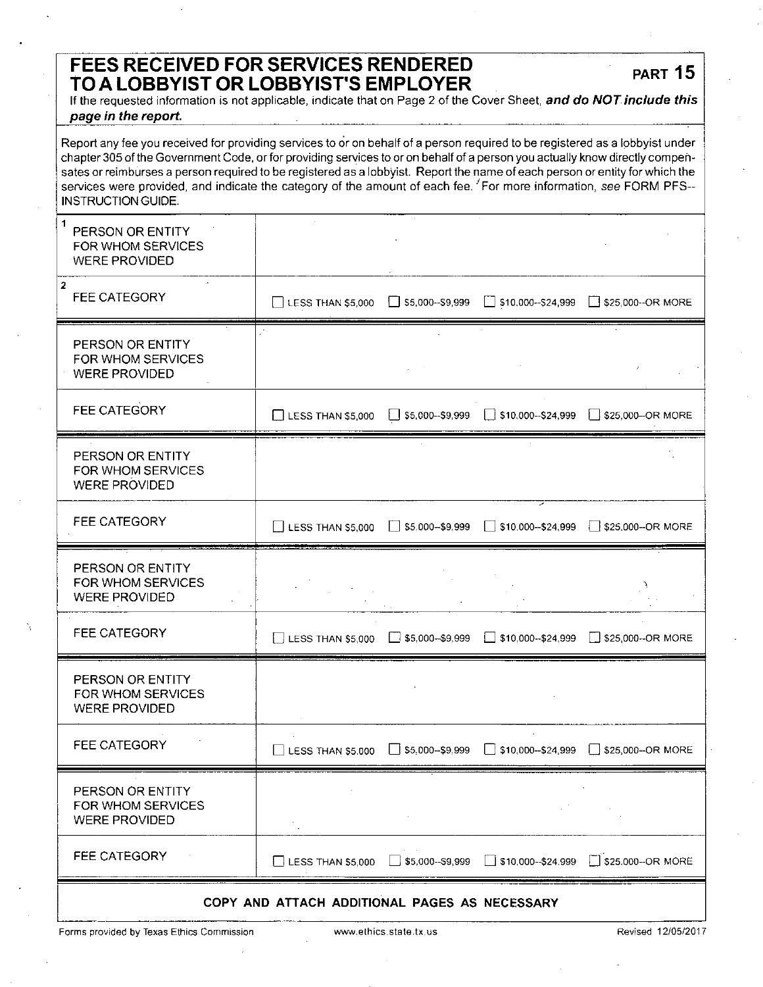### **FEES RECEIVED FOR SERVICES RENDERED PART 15 TO A LOBBYIST OR LOBBYIST'S EMPLOYER**

If the requested information is not applicable, indicate that on Page 2 of the Cover Sheet, and do NOT include this page in the report.

Report any fee you received for providing services to or on behalf of a person required to be registered as a lobbyist under chapter 305 of the Government Code, or for providing services to or on behalf of a person you actually know directly compensates or reimburses a person required to be registered as a lobbyist. Report the name of each person or entity for which the services were provided, and indicate the category of the amount of each fee. <sup>'</sup>For more information, see FORM PFS--INSTRUCTION GUIDE.

| 1<br>PERSON OR ENTITY<br>FOR WHOM SERVICES<br><b>WERE PROVIDED</b> |                                               |                                                                |                              |                    |
|--------------------------------------------------------------------|-----------------------------------------------|----------------------------------------------------------------|------------------------------|--------------------|
| 2<br><b>FEE CATEGORY</b>                                           | $\Box$ LESS THAN \$5,000                      | $\Box$ \$5,000--\$9,999                                        | US10,000--\$24,999           | S25,000--OR MORE   |
| PERSON OR ENTITY<br>FOR WHOM SERVICES<br><b>WERE PROVIDED</b>      |                                               |                                                                |                              |                    |
| FEE CATEGORY                                                       | $\Box$ LESS THAN \$5,000                      | $\Box$ \$5,000--\$9,999                                        | $\Box$ \$10,000--\$24,999    | S25,000-OR MORE    |
| PERSON OR ENTITY<br>FOR WHOM SERVICES<br><b>WERE PROVIDED</b>      |                                               |                                                                |                              |                    |
| FEE CATEGORY                                                       | $\Box$ LESS THAN \$5,000                      | $\begin{array}{ c c }\n\hline\n& 55.000 - $9.999\n\end{array}$ | \$10,000--\$24,999<br>$\Box$ | \$25,000-OR MORE   |
| PERSON OR ENTITY<br>FOR WHOM SERVICES<br><b>WERE PROVIDED</b>      |                                               |                                                                |                              |                    |
| FEE CATEGORY                                                       | $\Box$ LESS THAN \$5,000                      | $\Box$ \$5,000-\$9,999                                         | \$10,000 -- \$24,999         | S25,000-OR MORE    |
| PERSON OR ENTITY<br>FOR WHOM SERVICES<br><b>WERE PROVIDED</b>      |                                               |                                                                |                              |                    |
| FEE CATEGORY                                                       | LESS THAN \$5,000                             | 55.000--\$9.999                                                | \$10,000-\$24,999            | \$25,000--OR MORE  |
| PERSON OR ENTITY<br>FOR WHOM SERVICES<br><b>WERE PROVIDED</b>      |                                               |                                                                |                              |                    |
| FEE CATEGORY                                                       | $\Box$ LESS THAN \$5,000                      | \$5,000--\$9,999                                               | $\sqrt{510,000-524.999}$     | J \$25.000-OR MORE |
|                                                                    | COPY AND ATTACH ADDITIONAL PAGES AS NECESSARY |                                                                |                              |                    |
| Forms provided by Texas Ethics Commission                          |                                               | www.ethics.state.tx.us                                         |                              | Revised 12/05/2017 |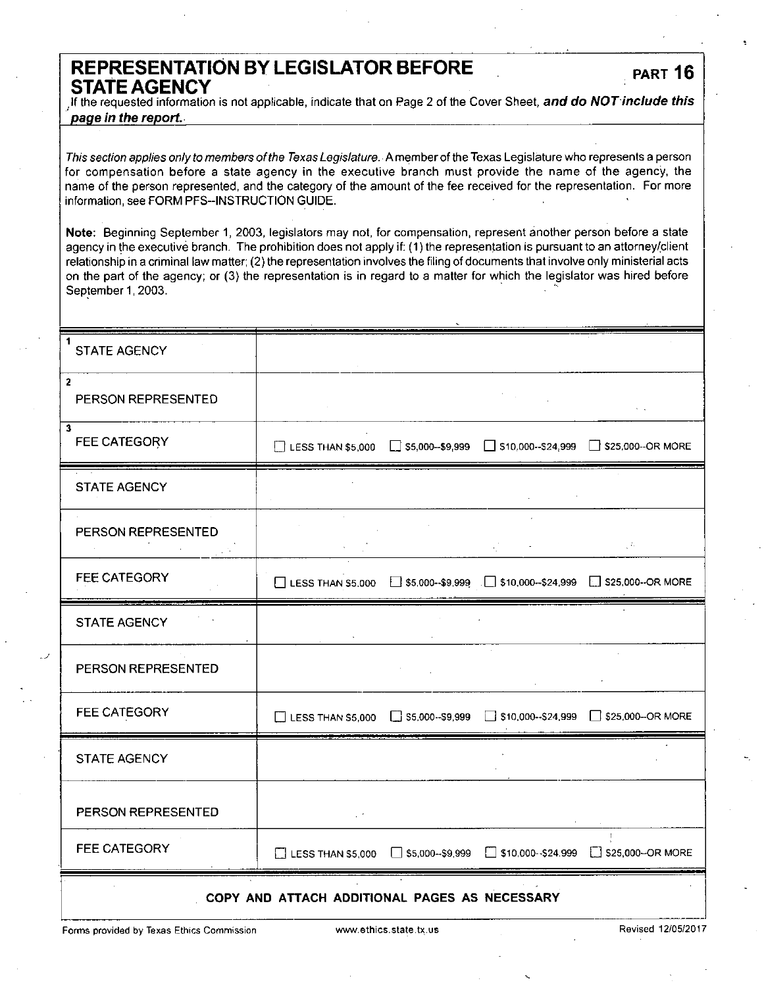### **REPRESENTATION BY LEGISLATOR BEFORE**<br> **CELLER ACTIVITY STATE AGENCY**

If the requested information is not applicable, indicate that on Page 2 of the Cover Sheet, and do NOT include this page in the report.

This section applies only to members of the Texas Legislature. A member of the Texas Legislature who represents a person for compensation before a state agency in the executive branch must provide the name of the agency, the name of the person represented, and the category of the amount of the fee received for the representation. For more information, see FORM PFS-INSTRUCTION GUIDE.

Note: Beginning September 1, 2003, legislators may not, for compensation, represent another person before a state agency in the executive branch. The prohibition does not apply if: (1) the representation is pursuant to an attorney/client relationship in a criminal law matter; (2) the representation involves the filing of documents that involve only ministerial acts on the part of the agency; or (3) the representation is in regard to a matter for which the legislator was hired before September 1, 2003.

| $\mathbf{1}$<br>STATE AGENCY         |                                                                                |  |                                                                                |
|--------------------------------------|--------------------------------------------------------------------------------|--|--------------------------------------------------------------------------------|
| $\overline{2}$<br>PERSON REPRESENTED |                                                                                |  |                                                                                |
| $\mathbf{3}$<br>FEE CATEGORY         | □ LESS THAN \$5,000 □ S5,000--\$9,999 □ \$10,000--\$24,999 □ \$25,000--OR MORE |  |                                                                                |
| <b>STATE AGENCY</b>                  |                                                                                |  |                                                                                |
| PERSON REPRESENTED                   |                                                                                |  | 以外                                                                             |
| FEE CATEGORY                         |                                                                                |  |                                                                                |
|                                      |                                                                                |  |                                                                                |
| <b>STATE AGENCY</b>                  |                                                                                |  |                                                                                |
| PERSON REPRESENTED                   |                                                                                |  |                                                                                |
| FEE CATEGORY                         | $\Box$ LESS THAN \$5,000                                                       |  |                                                                                |
| <b>STATE AGENCY</b>                  |                                                                                |  |                                                                                |
| PERSON REPRESENTED                   |                                                                                |  |                                                                                |
| FEE CATEGORY                         |                                                                                |  | □ LESS THAN \$5,000 □ \$5,000--\$9,999 □ \$10,000--\$24.999 □ \$25,000-OR MORE |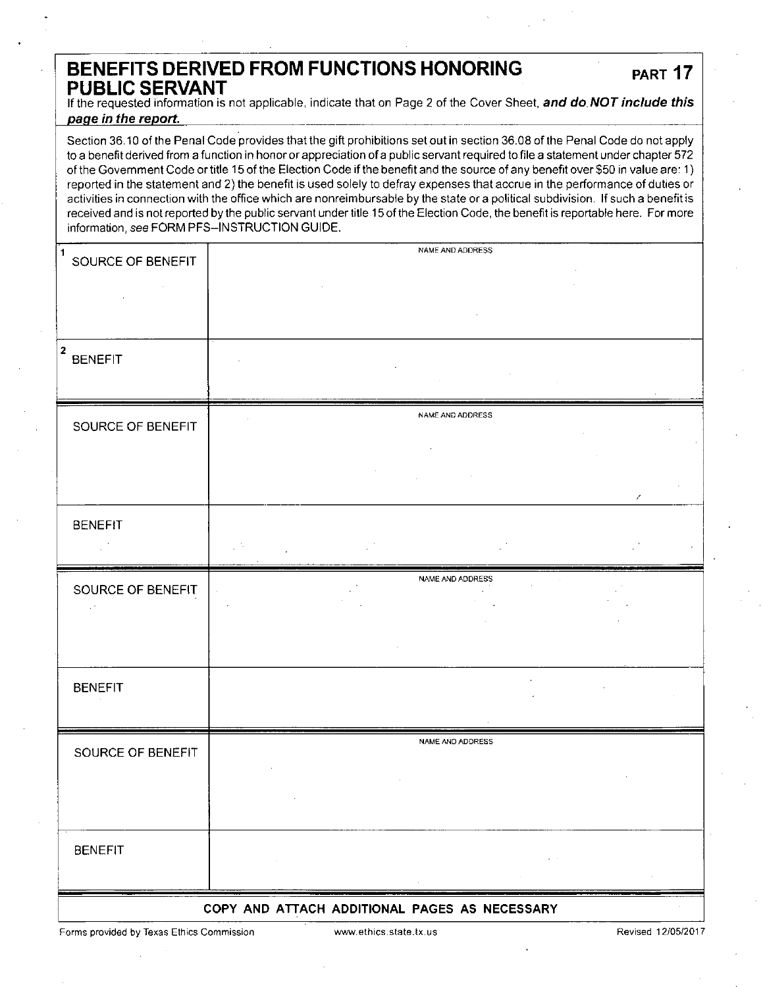### **BENEFITS DERIVED FROM FUNCTIONS HONORING PUBLIC SERVANT**

If the requested information is not applicable, indicate that on Page 2 of the Cover Sheet, and do NOT include this page in the report.

Section 36.10 of the Penal Code provides that the gift prohibitions set put in section 36.08 of the Penal Code do not apply to a benefit derived from a function in honor or appreciation of a public servant required to file a statement under chapter 572 of the Government Code or title 15 of the Election Code if the benefit and the source of any benefit over \$50 in value are: 1) reported in the statement and 2) the benefit is used solely to defray expenses that accrue in the performance of duties or activities in connection with the office which are nonreimbursable by the state or a political subdivision. If such a benefit is received and is not reported by the public servant under title 15 of the Election Code, the benefit is reportable here. For more information, see FORM PFS-INSTRUCTION GUIDE.

| $\mathbf{1}$<br>SOURCE OF BENEFIT             | NAME AND ADDRESS                |  |  |
|-----------------------------------------------|---------------------------------|--|--|
|                                               |                                 |  |  |
|                                               |                                 |  |  |
| $\boldsymbol{2}$                              |                                 |  |  |
| <b>BENEFIT</b>                                |                                 |  |  |
|                                               |                                 |  |  |
| SOURCE OF BENEFIT                             | NAME AND ADDRESS                |  |  |
|                                               |                                 |  |  |
|                                               |                                 |  |  |
|                                               |                                 |  |  |
| <b>BENEFIT</b>                                |                                 |  |  |
|                                               | NAME AND ADDRESS                |  |  |
| SOURCE OF BENEFIT                             |                                 |  |  |
|                                               |                                 |  |  |
|                                               |                                 |  |  |
| <b>BENEFIT</b>                                |                                 |  |  |
|                                               |                                 |  |  |
| SOURCE OF BENEFIT                             | NAME AND ADDRESS                |  |  |
|                                               |                                 |  |  |
|                                               |                                 |  |  |
|                                               |                                 |  |  |
| <b>BENEFIT</b>                                | and the state<br>$\sim 10^{-1}$ |  |  |
|                                               |                                 |  |  |
| COPY AND ATTACH ADDITIONAL PAGES AS NECESSARY |                                 |  |  |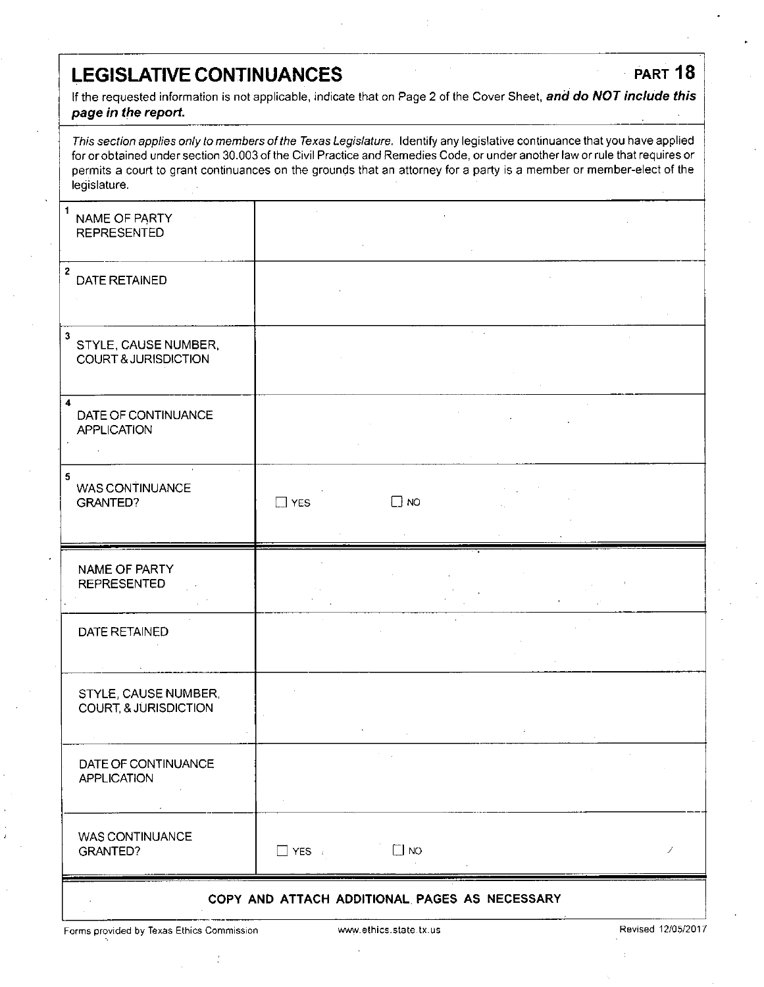## **LEGISLATIVE CONTINUANCES PART 18**

### **If the requested information is not applicable, indicate that on Page 2 of the Cover Sheet, and do NOT include this page in the report.**

This section applies only to members of the Texas Legislature. Identify any legislative continuance that you have applied for or obtained under section 30.003 of the Civil Practice and Remedies Code, or under another law or rule that requires or permits a court to grant continuances on the grounds that an attorney for a party is a member or member-elect of the legislature.

| $\blacktriangleleft$<br>NAME OF PARTY<br><b>REPRESENTED</b>  |                                |  |
|--------------------------------------------------------------|--------------------------------|--|
| $\mathbf{2}$<br>DATE RETAINED                                |                                |  |
| $\mathbf{3}$<br>STYLE, CAUSE NUMBER,<br>COURT & JURISDICTION |                                |  |
| 4<br>DATE OF CONTINUANCE<br><b>APPLICATION</b>               |                                |  |
| 5 <sub>1</sub><br>WAS CONTINUANCE<br>GRANTED?                | $\Box$ YES<br>$\Box$ NO        |  |
| NAME OF PARTY<br><b>REPRESENTED</b>                          |                                |  |
| DATE RETAINED                                                |                                |  |
| STYLE, CAUSE NUMBER,<br>COURT, & JURISDICTION                |                                |  |
| DATE OF CONTINUANCE<br><b>APPLICATION</b>                    |                                |  |
| WAS CONTINUANCE<br>GRANTED?                                  | $\Box$ NO<br>$\Box$ YES $\Box$ |  |
| COPY AND ATTACH ADDITIONAL PAGES AS NECESSARY                |                                |  |